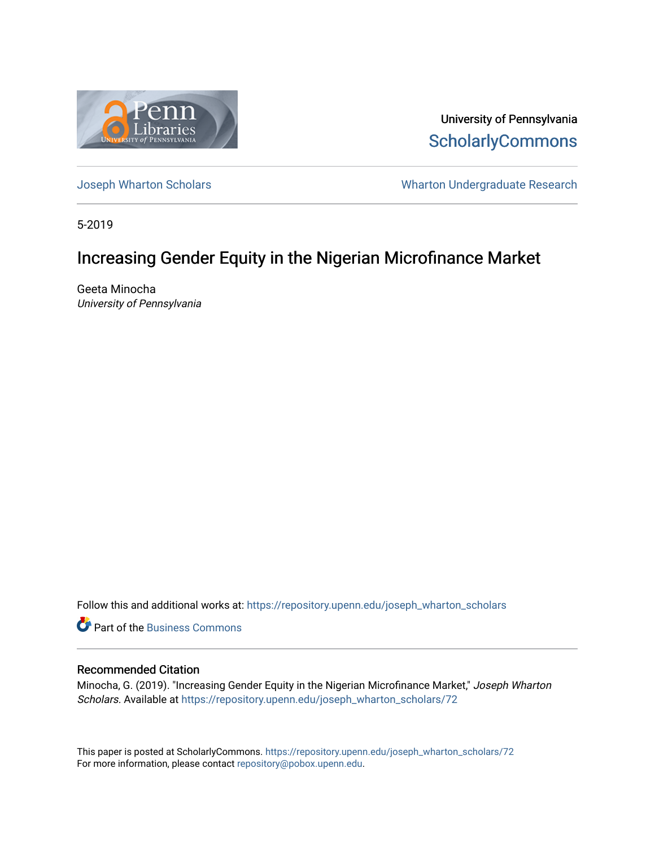

University of Pennsylvania **ScholarlyCommons** 

[Joseph Wharton Scholars](https://repository.upenn.edu/joseph_wharton_scholars) **Wharton Undergraduate Research** 

5-2019

# Increasing Gender Equity in the Nigerian Microfinance Market

Geeta Minocha University of Pennsylvania

Follow this and additional works at: [https://repository.upenn.edu/joseph\\_wharton\\_scholars](https://repository.upenn.edu/joseph_wharton_scholars?utm_source=repository.upenn.edu%2Fjoseph_wharton_scholars%2F72&utm_medium=PDF&utm_campaign=PDFCoverPages) 

**C** Part of the [Business Commons](http://network.bepress.com/hgg/discipline/622?utm_source=repository.upenn.edu%2Fjoseph_wharton_scholars%2F72&utm_medium=PDF&utm_campaign=PDFCoverPages)

#### Recommended Citation

Minocha, G. (2019). "Increasing Gender Equity in the Nigerian Microfinance Market," Joseph Wharton Scholars. Available at [https://repository.upenn.edu/joseph\\_wharton\\_scholars/72](https://repository.upenn.edu/joseph_wharton_scholars/72?utm_source=repository.upenn.edu%2Fjoseph_wharton_scholars%2F72&utm_medium=PDF&utm_campaign=PDFCoverPages) 

This paper is posted at ScholarlyCommons. [https://repository.upenn.edu/joseph\\_wharton\\_scholars/72](https://repository.upenn.edu/joseph_wharton_scholars/72)  For more information, please contact [repository@pobox.upenn.edu.](mailto:repository@pobox.upenn.edu)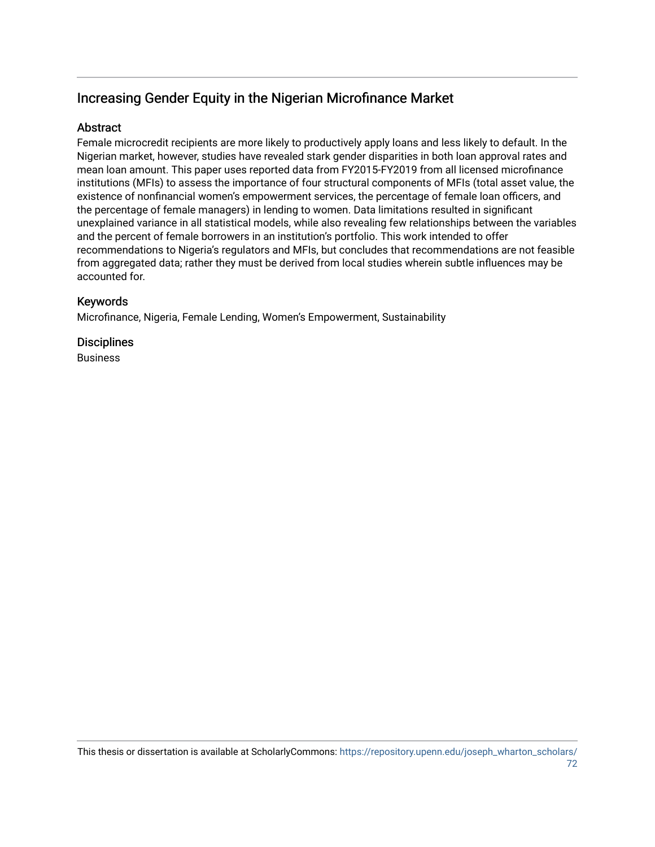# Increasing Gender Equity in the Nigerian Microfinance Market

## Abstract

Female microcredit recipients are more likely to productively apply loans and less likely to default. In the Nigerian market, however, studies have revealed stark gender disparities in both loan approval rates and mean loan amount. This paper uses reported data from FY2015-FY2019 from all licensed microfinance institutions (MFIs) to assess the importance of four structural components of MFIs (total asset value, the existence of nonfinancial women's empowerment services, the percentage of female loan officers, and the percentage of female managers) in lending to women. Data limitations resulted in significant unexplained variance in all statistical models, while also revealing few relationships between the variables and the percent of female borrowers in an institution's portfolio. This work intended to offer recommendations to Nigeria's regulators and MFIs, but concludes that recommendations are not feasible from aggregated data; rather they must be derived from local studies wherein subtle influences may be accounted for.

## Keywords

Microfinance, Nigeria, Female Lending, Women's Empowerment, Sustainability

## **Disciplines**

Business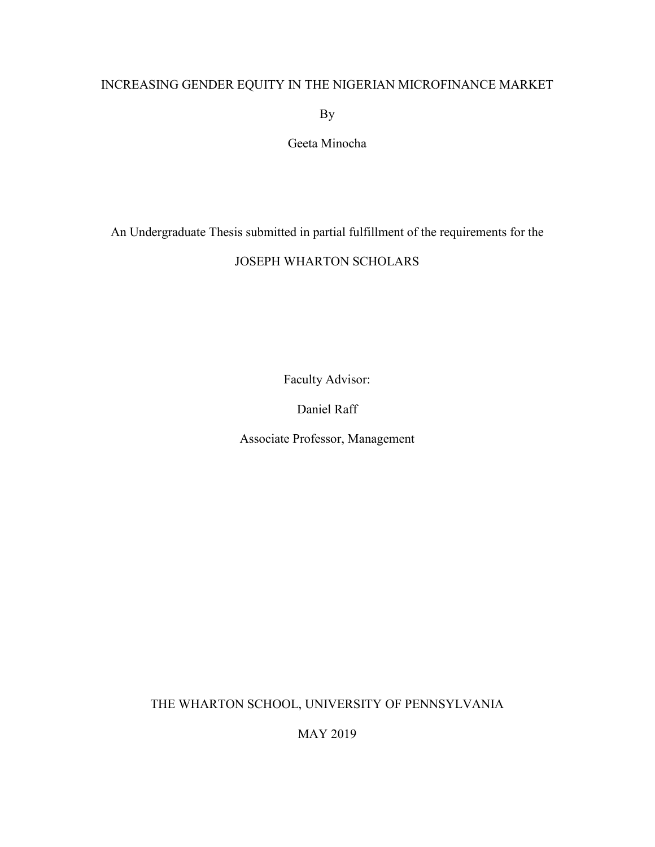## INCREASING GENDER EQUITY IN THE NIGERIAN MICROFINANCE MARKET

By

Geeta Minocha

An Undergraduate Thesis submitted in partial fulfillment of the requirements for the

## JOSEPH WHARTON SCHOLARS

Faculty Advisor:

Daniel Raff

Associate Professor, Management

THE WHARTON SCHOOL, UNIVERSITY OF PENNSYLVANIA

MAY 2019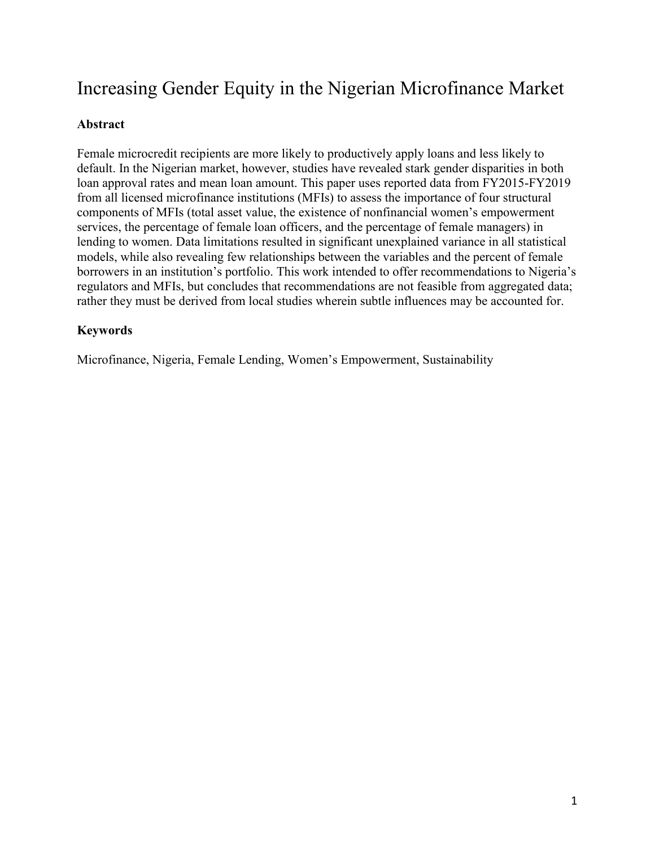# Increasing Gender Equity in the Nigerian Microfinance Market

## **Abstract**

Female microcredit recipients are more likely to productively apply loans and less likely to default. In the Nigerian market, however, studies have revealed stark gender disparities in both loan approval rates and mean loan amount. This paper uses reported data from FY2015-FY2019 from all licensed microfinance institutions (MFIs) to assess the importance of four structural components of MFIs (total asset value, the existence of nonfinancial women's empowerment services, the percentage of female loan officers, and the percentage of female managers) in lending to women. Data limitations resulted in significant unexplained variance in all statistical models, while also revealing few relationships between the variables and the percent of female borrowers in an institution's portfolio. This work intended to offer recommendations to Nigeria's regulators and MFIs, but concludes that recommendations are not feasible from aggregated data; rather they must be derived from local studies wherein subtle influences may be accounted for.

## **Keywords**

Microfinance, Nigeria, Female Lending, Women's Empowerment, Sustainability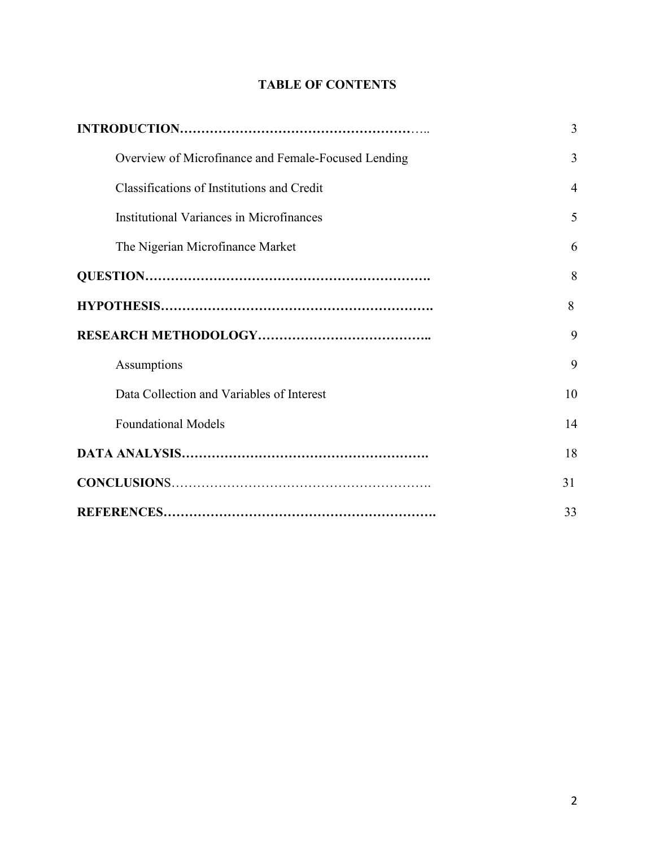## **TABLE OF CONTENTS**

|                                                     | 3              |
|-----------------------------------------------------|----------------|
| Overview of Microfinance and Female-Focused Lending | 3              |
| Classifications of Institutions and Credit          | $\overline{4}$ |
| Institutional Variances in Microfinances            | 5              |
| The Nigerian Microfinance Market                    | 6              |
|                                                     | 8              |
|                                                     | 8              |
|                                                     | 9              |
| Assumptions                                         | 9              |
| Data Collection and Variables of Interest           | 10             |
| <b>Foundational Models</b>                          | 14             |
|                                                     | 18             |
|                                                     | 31             |
|                                                     | 33             |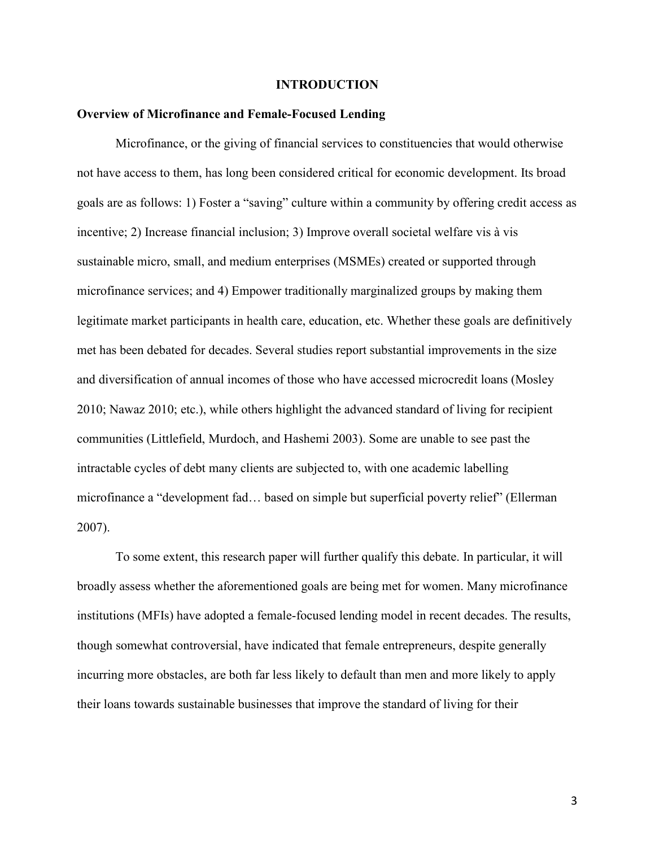#### **INTRODUCTION**

#### **Overview of Microfinance and Female-Focused Lending**

Microfinance, or the giving of financial services to constituencies that would otherwise not have access to them, has long been considered critical for economic development. Its broad goals are as follows: 1) Foster a "saving" culture within a community by offering credit access as incentive; 2) Increase financial inclusion; 3) Improve overall societal welfare vis à vis sustainable micro, small, and medium enterprises (MSMEs) created or supported through microfinance services; and 4) Empower traditionally marginalized groups by making them legitimate market participants in health care, education, etc. Whether these goals are definitively met has been debated for decades. Several studies report substantial improvements in the size and diversification of annual incomes of those who have accessed microcredit loans (Mosley 2010; Nawaz 2010; etc.), while others highlight the advanced standard of living for recipient communities (Littlefield, Murdoch, and Hashemi 2003). Some are unable to see past the intractable cycles of debt many clients are subjected to, with one academic labelling microfinance a "development fad… based on simple but superficial poverty relief" (Ellerman 2007).

To some extent, this research paper will further qualify this debate. In particular, it will broadly assess whether the aforementioned goals are being met for women. Many microfinance institutions (MFIs) have adopted a female-focused lending model in recent decades. The results, though somewhat controversial, have indicated that female entrepreneurs, despite generally incurring more obstacles, are both far less likely to default than men and more likely to apply their loans towards sustainable businesses that improve the standard of living for their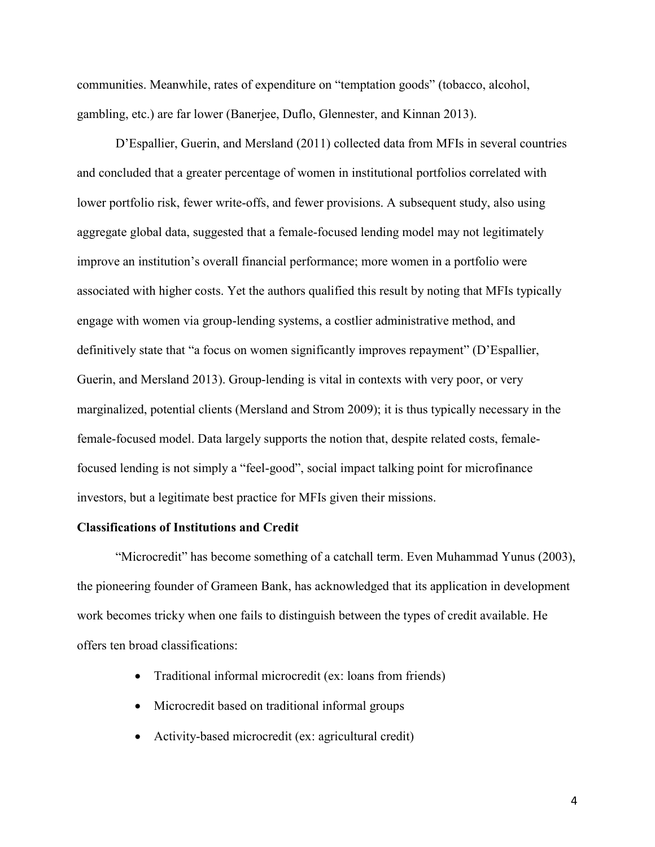communities. Meanwhile, rates of expenditure on "temptation goods" (tobacco, alcohol, gambling, etc.) are far lower (Banerjee, Duflo, Glennester, and Kinnan 2013).

D'Espallier, Guerin, and Mersland (2011) collected data from MFIs in several countries and concluded that a greater percentage of women in institutional portfolios correlated with lower portfolio risk, fewer write-offs, and fewer provisions. A subsequent study, also using aggregate global data, suggested that a female-focused lending model may not legitimately improve an institution's overall financial performance; more women in a portfolio were associated with higher costs. Yet the authors qualified this result by noting that MFIs typically engage with women via group-lending systems, a costlier administrative method, and definitively state that "a focus on women significantly improves repayment" (D'Espallier, Guerin, and Mersland 2013). Group-lending is vital in contexts with very poor, or very marginalized, potential clients (Mersland and Strom 2009); it is thus typically necessary in the female-focused model. Data largely supports the notion that, despite related costs, femalefocused lending is not simply a "feel-good", social impact talking point for microfinance investors, but a legitimate best practice for MFIs given their missions.

#### **Classifications of Institutions and Credit**

"Microcredit" has become something of a catchall term. Even Muhammad Yunus (2003), the pioneering founder of Grameen Bank, has acknowledged that its application in development work becomes tricky when one fails to distinguish between the types of credit available. He offers ten broad classifications:

- Traditional informal microcredit (ex: loans from friends)
- Microcredit based on traditional informal groups
- Activity-based microcredit (ex: agricultural credit)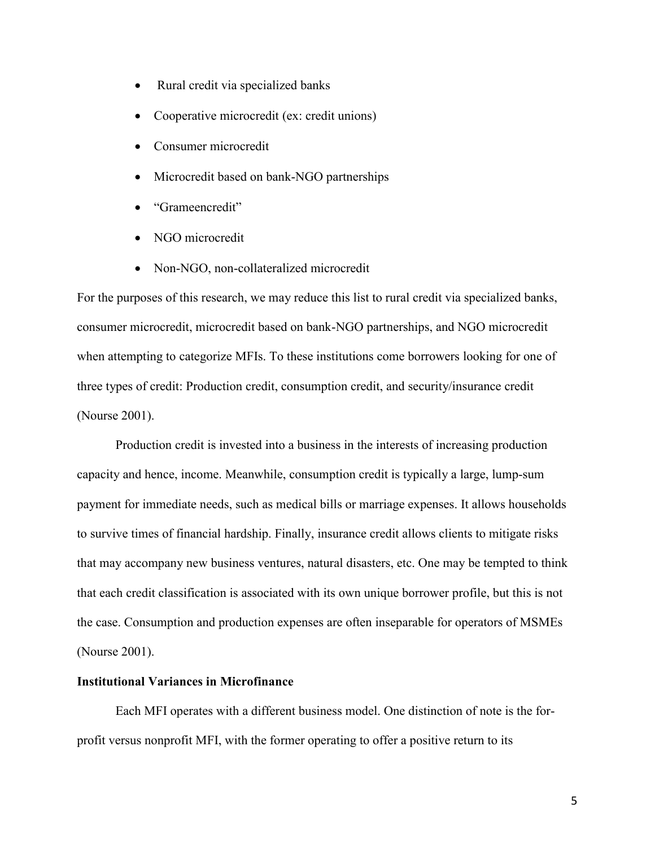- Rural credit via specialized banks
- Cooperative microcredit (ex: credit unions)
- Consumer microcredit
- Microcredit based on bank-NGO partnerships
- "Grameencredit"
- NGO microcredit
- Non-NGO, non-collateralized microcredit

For the purposes of this research, we may reduce this list to rural credit via specialized banks, consumer microcredit, microcredit based on bank-NGO partnerships, and NGO microcredit when attempting to categorize MFIs. To these institutions come borrowers looking for one of three types of credit: Production credit, consumption credit, and security/insurance credit (Nourse 2001).

Production credit is invested into a business in the interests of increasing production capacity and hence, income. Meanwhile, consumption credit is typically a large, lump-sum payment for immediate needs, such as medical bills or marriage expenses. It allows households to survive times of financial hardship. Finally, insurance credit allows clients to mitigate risks that may accompany new business ventures, natural disasters, etc. One may be tempted to think that each credit classification is associated with its own unique borrower profile, but this is not the case. Consumption and production expenses are often inseparable for operators of MSMEs (Nourse 2001).

#### **Institutional Variances in Microfinance**

Each MFI operates with a different business model. One distinction of note is the forprofit versus nonprofit MFI, with the former operating to offer a positive return to its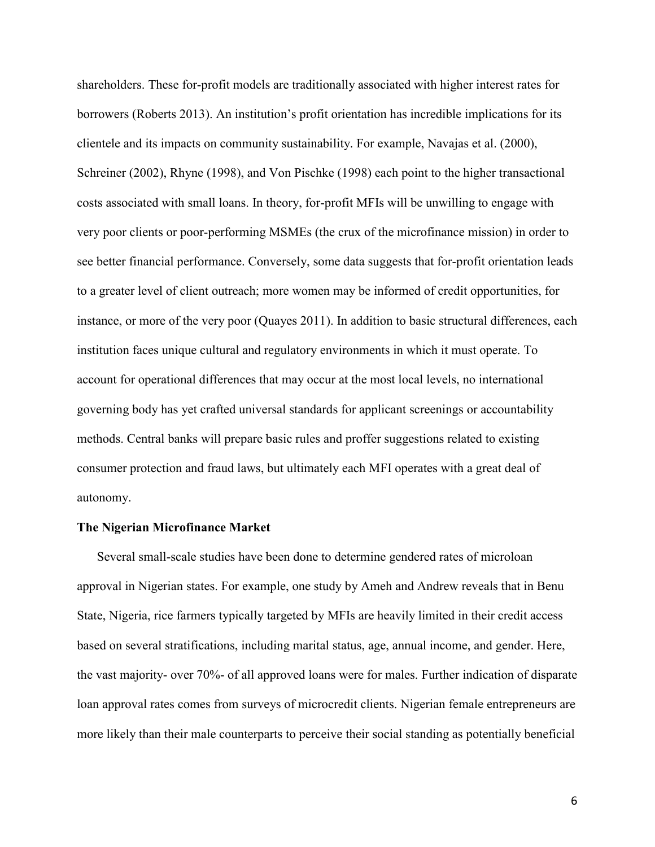shareholders. These for-profit models are traditionally associated with higher interest rates for borrowers (Roberts 2013). An institution's profit orientation has incredible implications for its clientele and its impacts on community sustainability. For example, Navajas et al. (2000), Schreiner (2002), Rhyne (1998), and Von Pischke (1998) each point to the higher transactional costs associated with small loans. In theory, for-profit MFIs will be unwilling to engage with very poor clients or poor-performing MSMEs (the crux of the microfinance mission) in order to see better financial performance. Conversely, some data suggests that for-profit orientation leads to a greater level of client outreach; more women may be informed of credit opportunities, for instance, or more of the very poor (Quayes 2011). In addition to basic structural differences, each institution faces unique cultural and regulatory environments in which it must operate. To account for operational differences that may occur at the most local levels, no international governing body has yet crafted universal standards for applicant screenings or accountability methods. Central banks will prepare basic rules and proffer suggestions related to existing consumer protection and fraud laws, but ultimately each MFI operates with a great deal of autonomy.

#### **The Nigerian Microfinance Market**

Several small-scale studies have been done to determine gendered rates of microloan approval in Nigerian states. For example, one study by Ameh and Andrew reveals that in Benu State, Nigeria, rice farmers typically targeted by MFIs are heavily limited in their credit access based on several stratifications, including marital status, age, annual income, and gender. Here, the vast majority- over 70%- of all approved loans were for males. Further indication of disparate loan approval rates comes from surveys of microcredit clients. Nigerian female entrepreneurs are more likely than their male counterparts to perceive their social standing as potentially beneficial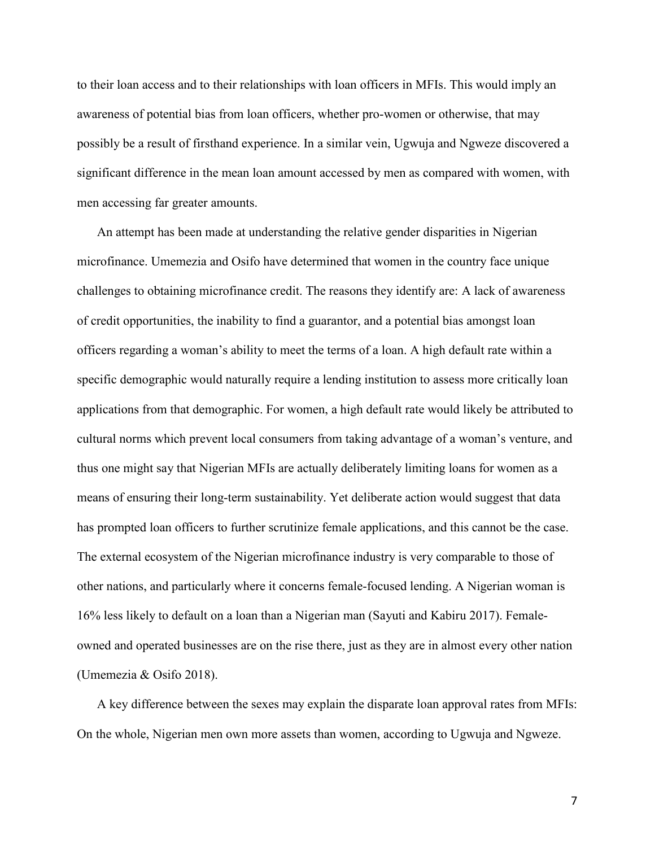to their loan access and to their relationships with loan officers in MFIs. This would imply an awareness of potential bias from loan officers, whether pro-women or otherwise, that may possibly be a result of firsthand experience. In a similar vein, Ugwuja and Ngweze discovered a significant difference in the mean loan amount accessed by men as compared with women, with men accessing far greater amounts.

An attempt has been made at understanding the relative gender disparities in Nigerian microfinance. Umemezia and Osifo have determined that women in the country face unique challenges to obtaining microfinance credit. The reasons they identify are: A lack of awareness of credit opportunities, the inability to find a guarantor, and a potential bias amongst loan officers regarding a woman's ability to meet the terms of a loan. A high default rate within a specific demographic would naturally require a lending institution to assess more critically loan applications from that demographic. For women, a high default rate would likely be attributed to cultural norms which prevent local consumers from taking advantage of a woman's venture, and thus one might say that Nigerian MFIs are actually deliberately limiting loans for women as a means of ensuring their long-term sustainability. Yet deliberate action would suggest that data has prompted loan officers to further scrutinize female applications, and this cannot be the case. The external ecosystem of the Nigerian microfinance industry is very comparable to those of other nations, and particularly where it concerns female-focused lending. A Nigerian woman is 16% less likely to default on a loan than a Nigerian man (Sayuti and Kabiru 2017). Femaleowned and operated businesses are on the rise there, just as they are in almost every other nation (Umemezia & Osifo 2018).

A key difference between the sexes may explain the disparate loan approval rates from MFIs: On the whole, Nigerian men own more assets than women, according to Ugwuja and Ngweze.

7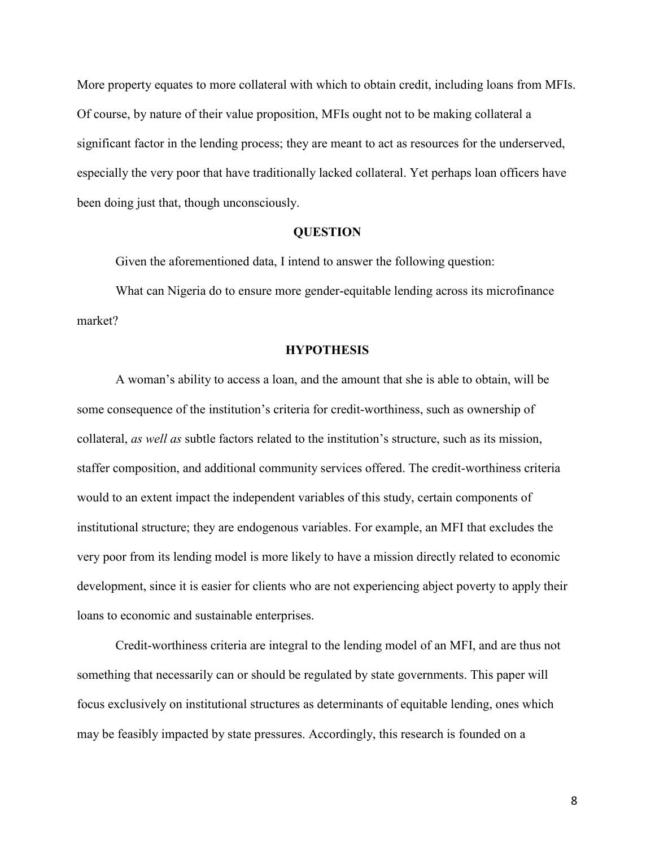More property equates to more collateral with which to obtain credit, including loans from MFIs. Of course, by nature of their value proposition, MFIs ought not to be making collateral a significant factor in the lending process; they are meant to act as resources for the underserved, especially the very poor that have traditionally lacked collateral. Yet perhaps loan officers have been doing just that, though unconsciously.

#### **QUESTION**

Given the aforementioned data, I intend to answer the following question:

What can Nigeria do to ensure more gender-equitable lending across its microfinance market?

#### **HYPOTHESIS**

A woman's ability to access a loan, and the amount that she is able to obtain, will be some consequence of the institution's criteria for credit-worthiness, such as ownership of collateral, *as well as* subtle factors related to the institution's structure, such as its mission, staffer composition, and additional community services offered. The credit-worthiness criteria would to an extent impact the independent variables of this study, certain components of institutional structure; they are endogenous variables. For example, an MFI that excludes the very poor from its lending model is more likely to have a mission directly related to economic development, since it is easier for clients who are not experiencing abject poverty to apply their loans to economic and sustainable enterprises.

Credit-worthiness criteria are integral to the lending model of an MFI, and are thus not something that necessarily can or should be regulated by state governments. This paper will focus exclusively on institutional structures as determinants of equitable lending, ones which may be feasibly impacted by state pressures. Accordingly, this research is founded on a

8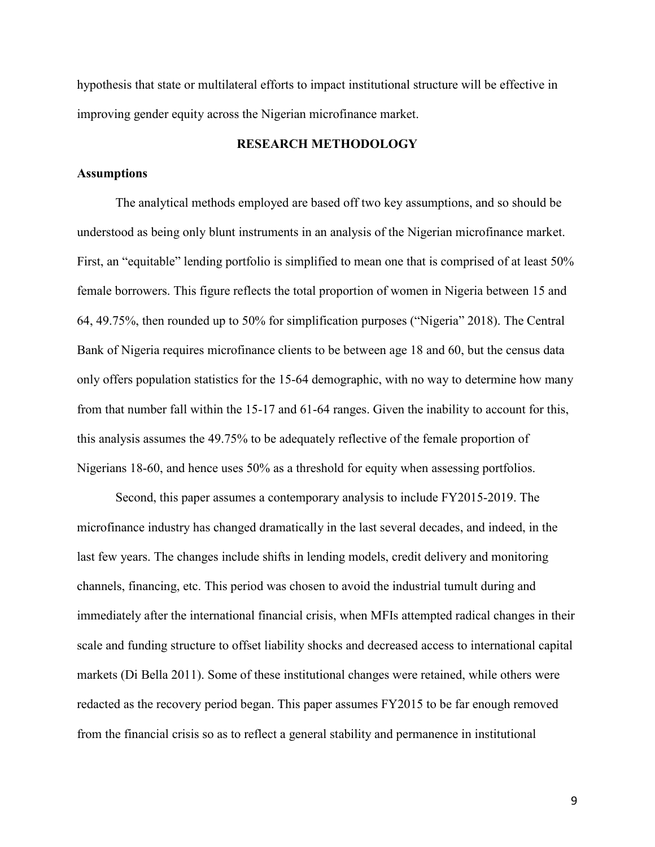hypothesis that state or multilateral efforts to impact institutional structure will be effective in improving gender equity across the Nigerian microfinance market.

## **RESEARCH METHODOLOGY**

#### **Assumptions**

The analytical methods employed are based off two key assumptions, and so should be understood as being only blunt instruments in an analysis of the Nigerian microfinance market. First, an "equitable" lending portfolio is simplified to mean one that is comprised of at least 50% female borrowers. This figure reflects the total proportion of women in Nigeria between 15 and 64, 49.75%, then rounded up to 50% for simplification purposes ("Nigeria" 2018). The Central Bank of Nigeria requires microfinance clients to be between age 18 and 60, but the census data only offers population statistics for the 15-64 demographic, with no way to determine how many from that number fall within the 15-17 and 61-64 ranges. Given the inability to account for this, this analysis assumes the 49.75% to be adequately reflective of the female proportion of Nigerians 18-60, and hence uses 50% as a threshold for equity when assessing portfolios.

Second, this paper assumes a contemporary analysis to include FY2015-2019. The microfinance industry has changed dramatically in the last several decades, and indeed, in the last few years. The changes include shifts in lending models, credit delivery and monitoring channels, financing, etc. This period was chosen to avoid the industrial tumult during and immediately after the international financial crisis, when MFIs attempted radical changes in their scale and funding structure to offset liability shocks and decreased access to international capital markets (Di Bella 2011). Some of these institutional changes were retained, while others were redacted as the recovery period began. This paper assumes FY2015 to be far enough removed from the financial crisis so as to reflect a general stability and permanence in institutional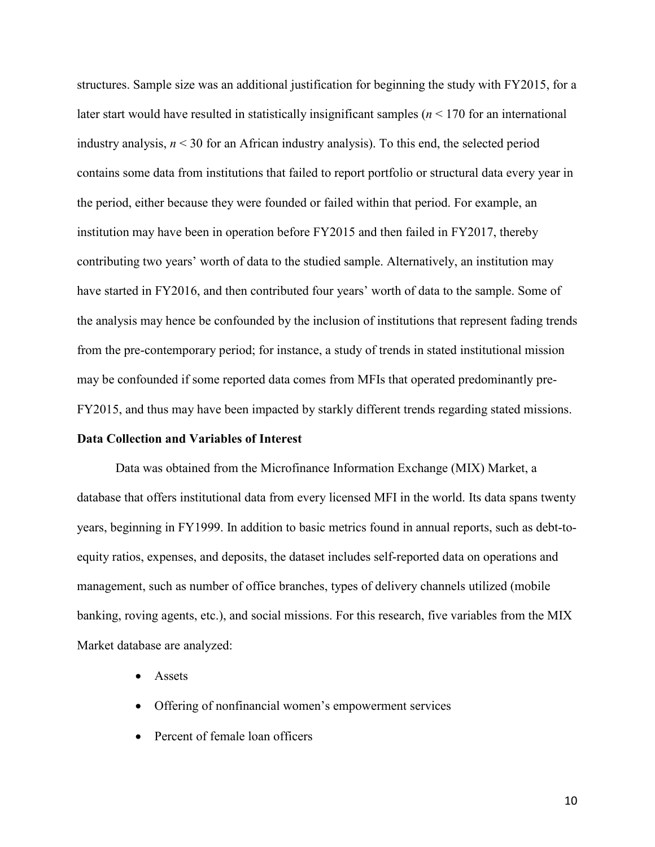structures. Sample size was an additional justification for beginning the study with FY2015, for a later start would have resulted in statistically insignificant samples (*n* < 170 for an international industry analysis, *n* < 30 for an African industry analysis). To this end, the selected period contains some data from institutions that failed to report portfolio or structural data every year in the period, either because they were founded or failed within that period. For example, an institution may have been in operation before FY2015 and then failed in FY2017, thereby contributing two years' worth of data to the studied sample. Alternatively, an institution may have started in FY2016, and then contributed four years' worth of data to the sample. Some of the analysis may hence be confounded by the inclusion of institutions that represent fading trends from the pre-contemporary period; for instance, a study of trends in stated institutional mission may be confounded if some reported data comes from MFIs that operated predominantly pre-FY2015, and thus may have been impacted by starkly different trends regarding stated missions.

#### **Data Collection and Variables of Interest**

Data was obtained from the Microfinance Information Exchange (MIX) Market, a database that offers institutional data from every licensed MFI in the world. Its data spans twenty years, beginning in FY1999. In addition to basic metrics found in annual reports, such as debt-toequity ratios, expenses, and deposits, the dataset includes self-reported data on operations and management, such as number of office branches, types of delivery channels utilized (mobile banking, roving agents, etc.), and social missions. For this research, five variables from the MIX Market database are analyzed:

- Assets
- Offering of nonfinancial women's empowerment services
- Percent of female loan officers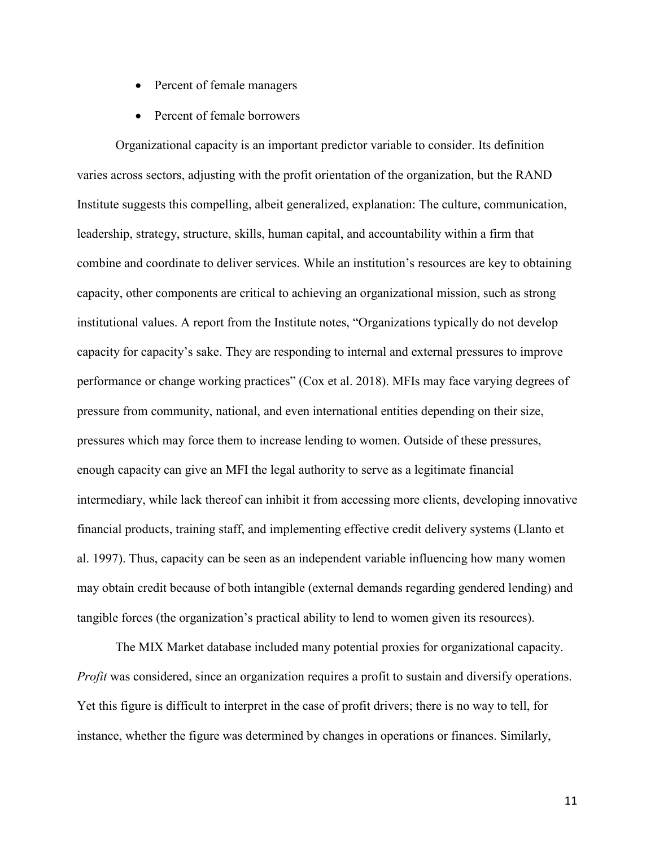- Percent of female managers
- Percent of female borrowers

Organizational capacity is an important predictor variable to consider. Its definition varies across sectors, adjusting with the profit orientation of the organization, but the RAND Institute suggests this compelling, albeit generalized, explanation: The culture, communication, leadership, strategy, structure, skills, human capital, and accountability within a firm that combine and coordinate to deliver services. While an institution's resources are key to obtaining capacity, other components are critical to achieving an organizational mission, such as strong institutional values. A report from the Institute notes, "Organizations typically do not develop capacity for capacity's sake. They are responding to internal and external pressures to improve performance or change working practices" (Cox et al. 2018). MFIs may face varying degrees of pressure from community, national, and even international entities depending on their size, pressures which may force them to increase lending to women. Outside of these pressures, enough capacity can give an MFI the legal authority to serve as a legitimate financial intermediary, while lack thereof can inhibit it from accessing more clients, developing innovative financial products, training staff, and implementing effective credit delivery systems (Llanto et al. 1997). Thus, capacity can be seen as an independent variable influencing how many women may obtain credit because of both intangible (external demands regarding gendered lending) and tangible forces (the organization's practical ability to lend to women given its resources).

The MIX Market database included many potential proxies for organizational capacity. *Profit* was considered, since an organization requires a profit to sustain and diversify operations. Yet this figure is difficult to interpret in the case of profit drivers; there is no way to tell, for instance, whether the figure was determined by changes in operations or finances. Similarly,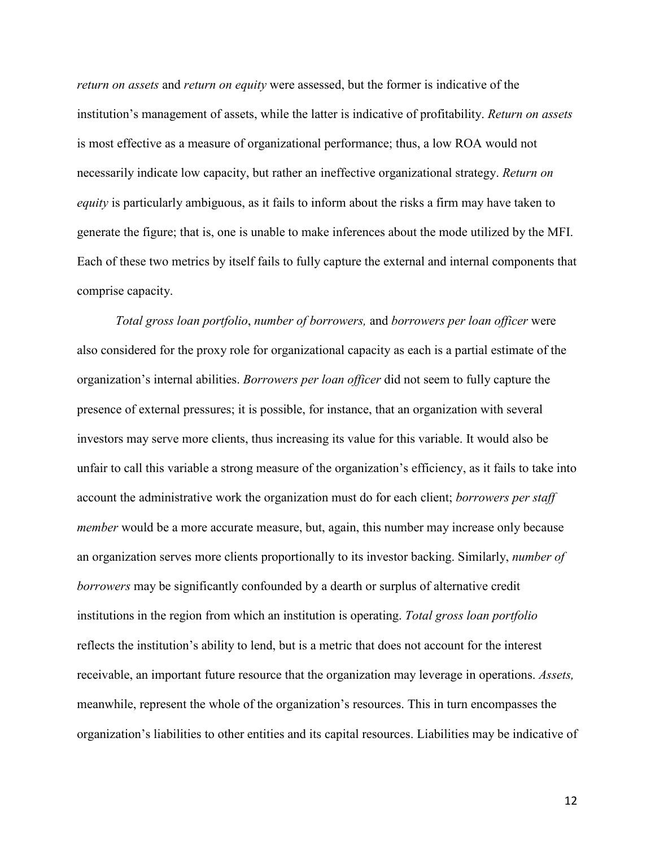*return on assets* and *return on equity* were assessed, but the former is indicative of the institution's management of assets, while the latter is indicative of profitability. *Return on assets*  is most effective as a measure of organizational performance; thus, a low ROA would not necessarily indicate low capacity, but rather an ineffective organizational strategy. *Return on equity* is particularly ambiguous, as it fails to inform about the risks a firm may have taken to generate the figure; that is, one is unable to make inferences about the mode utilized by the MFI. Each of these two metrics by itself fails to fully capture the external and internal components that comprise capacity.

*Total gross loan portfolio*, *number of borrowers,* and *borrowers per loan officer* were also considered for the proxy role for organizational capacity as each is a partial estimate of the organization's internal abilities. *Borrowers per loan officer* did not seem to fully capture the presence of external pressures; it is possible, for instance, that an organization with several investors may serve more clients, thus increasing its value for this variable. It would also be unfair to call this variable a strong measure of the organization's efficiency, as it fails to take into account the administrative work the organization must do for each client; *borrowers per staff member* would be a more accurate measure, but, again, this number may increase only because an organization serves more clients proportionally to its investor backing. Similarly, *number of borrowers* may be significantly confounded by a dearth or surplus of alternative credit institutions in the region from which an institution is operating. *Total gross loan portfolio*  reflects the institution's ability to lend, but is a metric that does not account for the interest receivable, an important future resource that the organization may leverage in operations. *Assets,*  meanwhile, represent the whole of the organization's resources. This in turn encompasses the organization's liabilities to other entities and its capital resources. Liabilities may be indicative of

12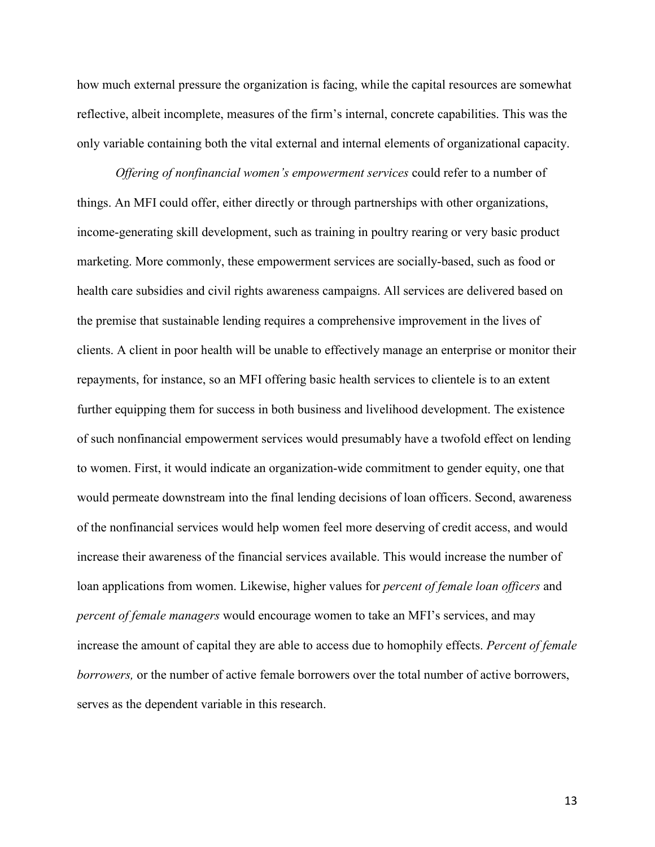how much external pressure the organization is facing, while the capital resources are somewhat reflective, albeit incomplete, measures of the firm's internal, concrete capabilities. This was the only variable containing both the vital external and internal elements of organizational capacity.

*Offering of nonfinancial women's empowerment services* could refer to a number of things. An MFI could offer, either directly or through partnerships with other organizations, income-generating skill development, such as training in poultry rearing or very basic product marketing. More commonly, these empowerment services are socially-based, such as food or health care subsidies and civil rights awareness campaigns. All services are delivered based on the premise that sustainable lending requires a comprehensive improvement in the lives of clients. A client in poor health will be unable to effectively manage an enterprise or monitor their repayments, for instance, so an MFI offering basic health services to clientele is to an extent further equipping them for success in both business and livelihood development. The existence of such nonfinancial empowerment services would presumably have a twofold effect on lending to women. First, it would indicate an organization-wide commitment to gender equity, one that would permeate downstream into the final lending decisions of loan officers. Second, awareness of the nonfinancial services would help women feel more deserving of credit access, and would increase their awareness of the financial services available. This would increase the number of loan applications from women. Likewise, higher values for *percent of female loan officers* and *percent of female managers* would encourage women to take an MFI's services, and may increase the amount of capital they are able to access due to homophily effects. *Percent of female borrowers*, or the number of active female borrowers over the total number of active borrowers, serves as the dependent variable in this research.

13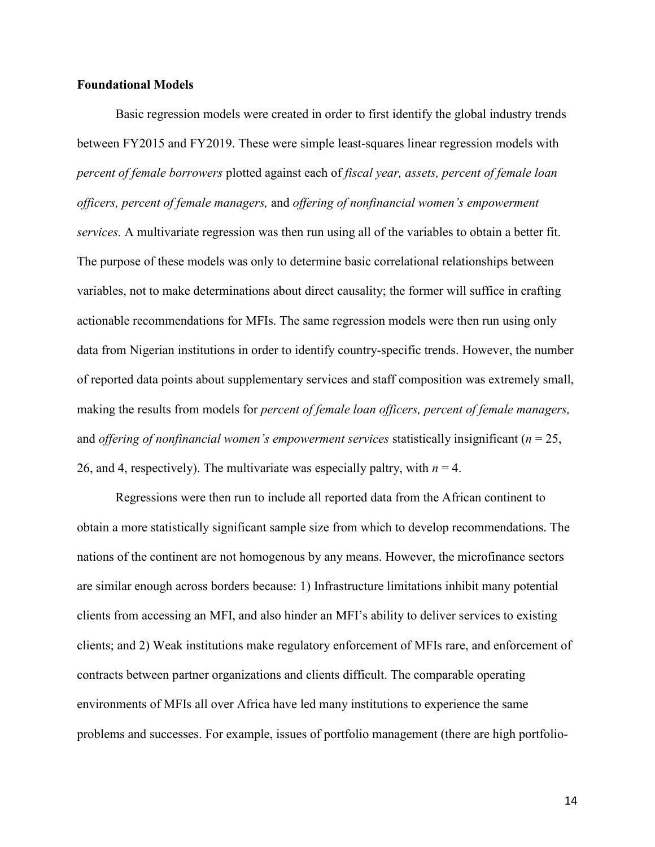#### **Foundational Models**

Basic regression models were created in order to first identify the global industry trends between FY2015 and FY2019. These were simple least-squares linear regression models with *percent of female borrowers* plotted against each of *fiscal year, assets, percent of female loan officers, percent of female managers,* and *offering of nonfinancial women's empowerment services.* A multivariate regression was then run using all of the variables to obtain a better fit. The purpose of these models was only to determine basic correlational relationships between variables, not to make determinations about direct causality; the former will suffice in crafting actionable recommendations for MFIs. The same regression models were then run using only data from Nigerian institutions in order to identify country-specific trends. However, the number of reported data points about supplementary services and staff composition was extremely small, making the results from models for *percent of female loan officers, percent of female managers,*  and *offering of nonfinancial women's empowerment services* statistically insignificant (*n* = 25, 26, and 4, respectively). The multivariate was especially paltry, with  $n = 4$ .

Regressions were then run to include all reported data from the African continent to obtain a more statistically significant sample size from which to develop recommendations. The nations of the continent are not homogenous by any means. However, the microfinance sectors are similar enough across borders because: 1) Infrastructure limitations inhibit many potential clients from accessing an MFI, and also hinder an MFI's ability to deliver services to existing clients; and 2) Weak institutions make regulatory enforcement of MFIs rare, and enforcement of contracts between partner organizations and clients difficult. The comparable operating environments of MFIs all over Africa have led many institutions to experience the same problems and successes. For example, issues of portfolio management (there are high portfolio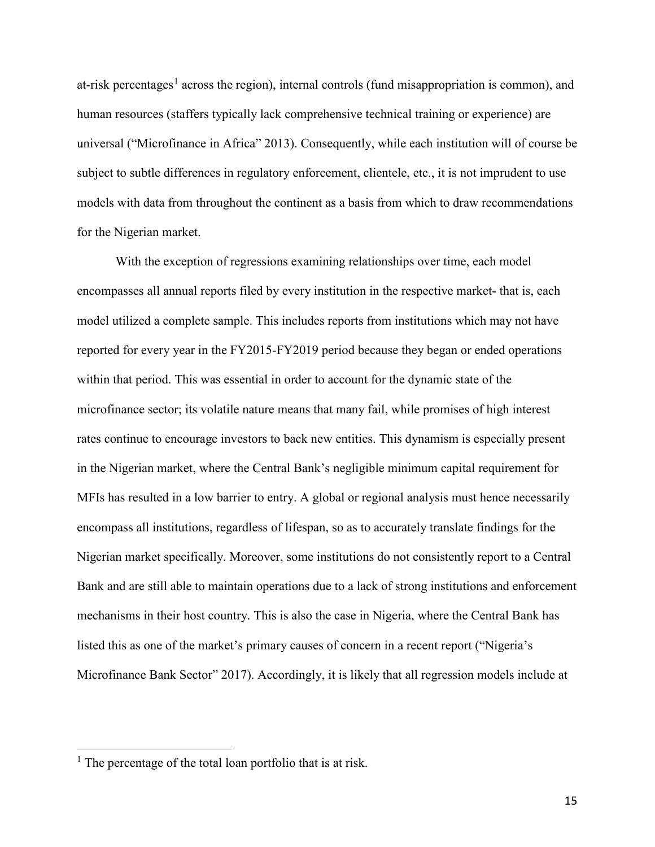at-risk percentages<sup>[1](#page-17-0)</sup> across the region), internal controls (fund misappropriation is common), and human resources (staffers typically lack comprehensive technical training or experience) are universal ("Microfinance in Africa" 2013). Consequently, while each institution will of course be subject to subtle differences in regulatory enforcement, clientele, etc., it is not imprudent to use models with data from throughout the continent as a basis from which to draw recommendations for the Nigerian market.

With the exception of regressions examining relationships over time, each model encompasses all annual reports filed by every institution in the respective market- that is, each model utilized a complete sample. This includes reports from institutions which may not have reported for every year in the FY2015-FY2019 period because they began or ended operations within that period. This was essential in order to account for the dynamic state of the microfinance sector; its volatile nature means that many fail, while promises of high interest rates continue to encourage investors to back new entities. This dynamism is especially present in the Nigerian market, where the Central Bank's negligible minimum capital requirement for MFIs has resulted in a low barrier to entry. A global or regional analysis must hence necessarily encompass all institutions, regardless of lifespan, so as to accurately translate findings for the Nigerian market specifically. Moreover, some institutions do not consistently report to a Central Bank and are still able to maintain operations due to a lack of strong institutions and enforcement mechanisms in their host country. This is also the case in Nigeria, where the Central Bank has listed this as one of the market's primary causes of concern in a recent report ("Nigeria's Microfinance Bank Sector" 2017). Accordingly, it is likely that all regression models include at

 $\overline{a}$ 

<span id="page-17-0"></span><sup>&</sup>lt;sup>1</sup> The percentage of the total loan portfolio that is at risk.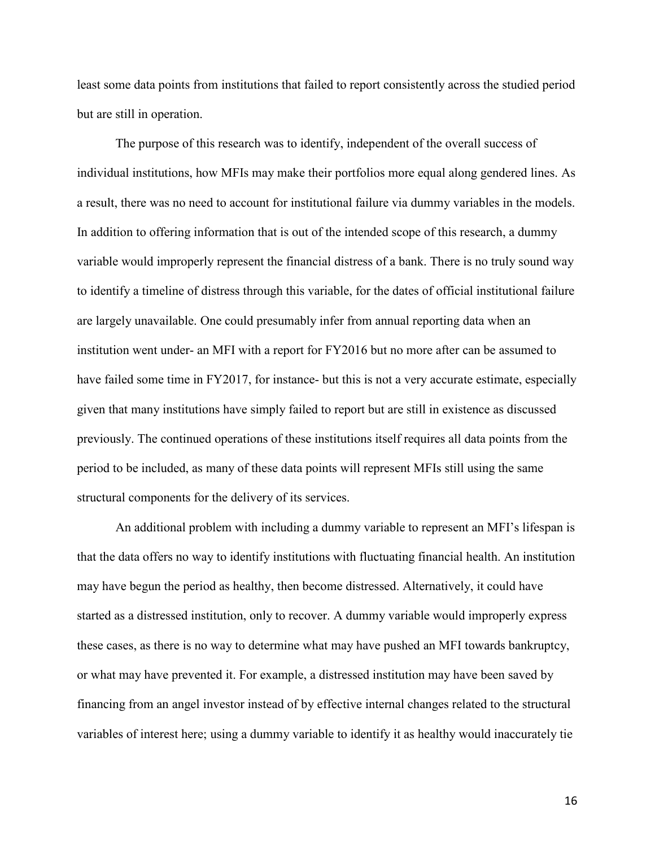least some data points from institutions that failed to report consistently across the studied period but are still in operation.

The purpose of this research was to identify, independent of the overall success of individual institutions, how MFIs may make their portfolios more equal along gendered lines. As a result, there was no need to account for institutional failure via dummy variables in the models. In addition to offering information that is out of the intended scope of this research, a dummy variable would improperly represent the financial distress of a bank. There is no truly sound way to identify a timeline of distress through this variable, for the dates of official institutional failure are largely unavailable. One could presumably infer from annual reporting data when an institution went under- an MFI with a report for FY2016 but no more after can be assumed to have failed some time in FY2017, for instance- but this is not a very accurate estimate, especially given that many institutions have simply failed to report but are still in existence as discussed previously. The continued operations of these institutions itself requires all data points from the period to be included, as many of these data points will represent MFIs still using the same structural components for the delivery of its services.

An additional problem with including a dummy variable to represent an MFI's lifespan is that the data offers no way to identify institutions with fluctuating financial health. An institution may have begun the period as healthy, then become distressed. Alternatively, it could have started as a distressed institution, only to recover. A dummy variable would improperly express these cases, as there is no way to determine what may have pushed an MFI towards bankruptcy, or what may have prevented it. For example, a distressed institution may have been saved by financing from an angel investor instead of by effective internal changes related to the structural variables of interest here; using a dummy variable to identify it as healthy would inaccurately tie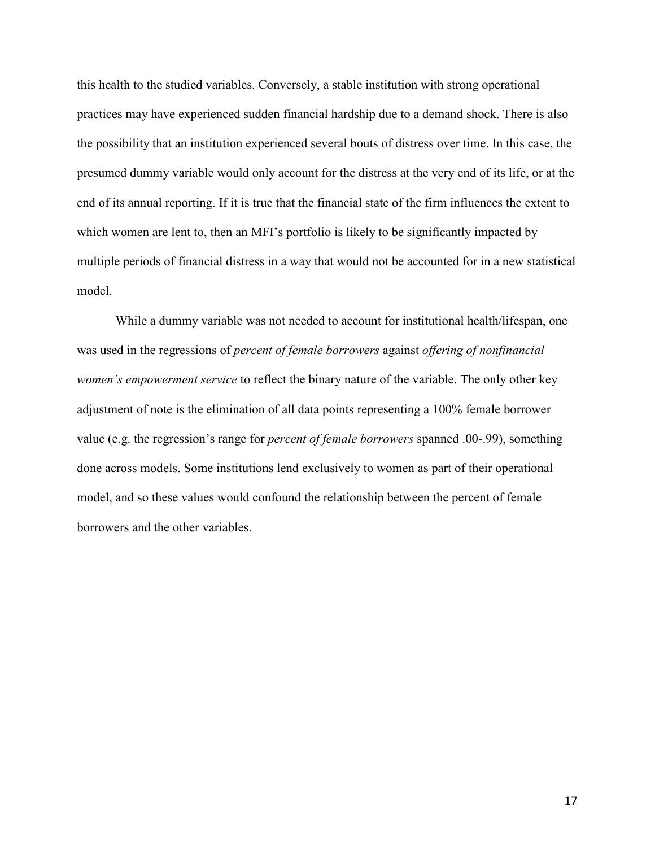this health to the studied variables. Conversely, a stable institution with strong operational practices may have experienced sudden financial hardship due to a demand shock. There is also the possibility that an institution experienced several bouts of distress over time. In this case, the presumed dummy variable would only account for the distress at the very end of its life, or at the end of its annual reporting. If it is true that the financial state of the firm influences the extent to which women are lent to, then an MFI's portfolio is likely to be significantly impacted by multiple periods of financial distress in a way that would not be accounted for in a new statistical model.

While a dummy variable was not needed to account for institutional health/lifespan, one was used in the regressions of *percent of female borrowers* against *offering of nonfinancial women's empowerment service* to reflect the binary nature of the variable. The only other key adjustment of note is the elimination of all data points representing a 100% female borrower value (e.g. the regression's range for *percent of female borrowers* spanned .00-.99), something done across models. Some institutions lend exclusively to women as part of their operational model, and so these values would confound the relationship between the percent of female borrowers and the other variables.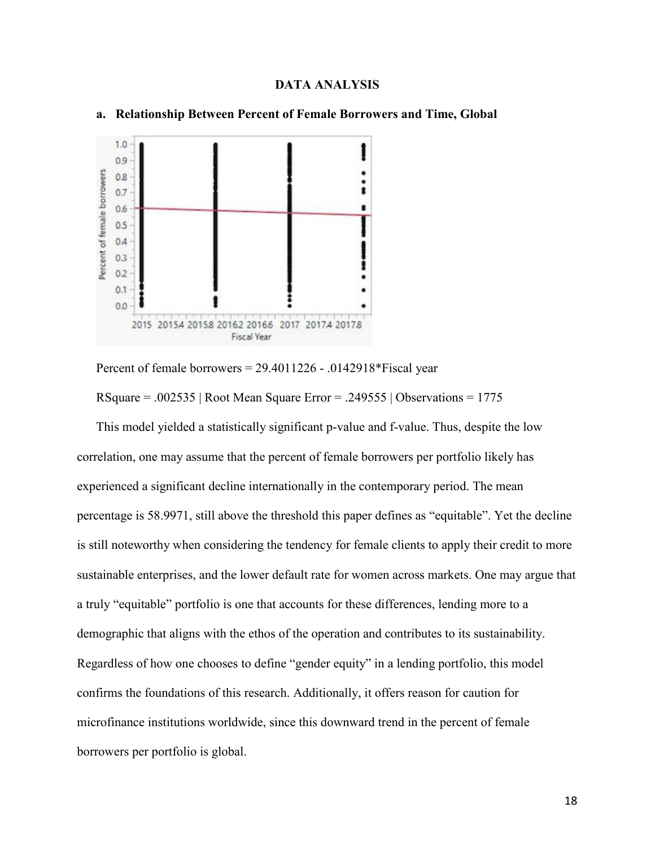#### **DATA ANALYSIS**



#### **a. Relationship Between Percent of Female Borrowers and Time, Global**

Percent of female borrowers = 29.4011226 - .0142918\*Fiscal year

RSquare =  $.002535$  | Root Mean Square Error =  $.249555$  | Observations = 1775

This model yielded a statistically significant p-value and f-value. Thus, despite the low correlation, one may assume that the percent of female borrowers per portfolio likely has experienced a significant decline internationally in the contemporary period. The mean percentage is 58.9971, still above the threshold this paper defines as "equitable". Yet the decline is still noteworthy when considering the tendency for female clients to apply their credit to more sustainable enterprises, and the lower default rate for women across markets. One may argue that a truly "equitable" portfolio is one that accounts for these differences, lending more to a demographic that aligns with the ethos of the operation and contributes to its sustainability. Regardless of how one chooses to define "gender equity" in a lending portfolio, this model confirms the foundations of this research. Additionally, it offers reason for caution for microfinance institutions worldwide, since this downward trend in the percent of female borrowers per portfolio is global.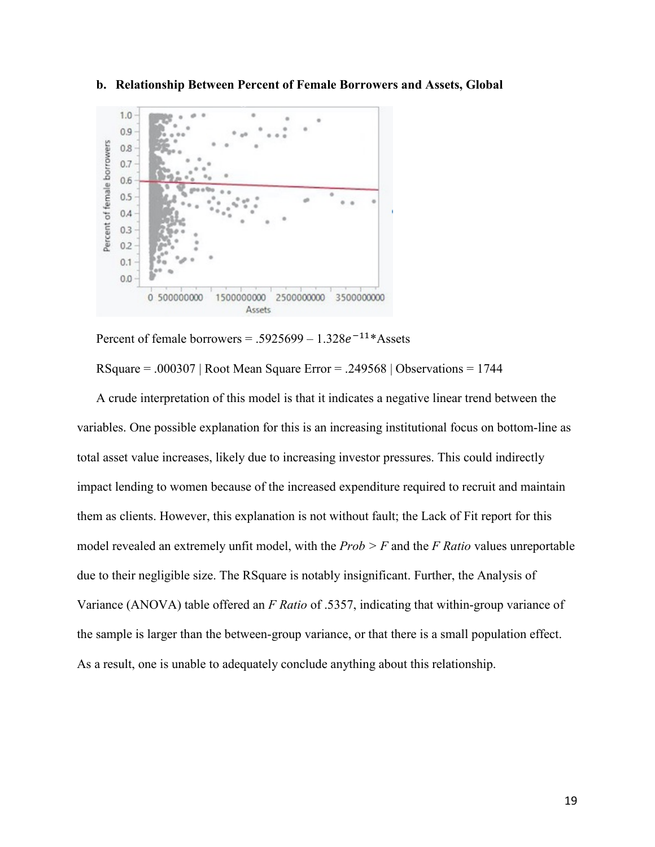

**b. Relationship Between Percent of Female Borrowers and Assets, Global**

Percent of female borrowers = .5925699 –  $1.328e^{-11*}$  Assets

RSquare = .000307 | Root Mean Square Error = .249568 | Observations = 1744

A crude interpretation of this model is that it indicates a negative linear trend between the variables. One possible explanation for this is an increasing institutional focus on bottom-line as total asset value increases, likely due to increasing investor pressures. This could indirectly impact lending to women because of the increased expenditure required to recruit and maintain them as clients. However, this explanation is not without fault; the Lack of Fit report for this model revealed an extremely unfit model, with the *Prob > F* and the *F Ratio* values unreportable due to their negligible size. The RSquare is notably insignificant. Further, the Analysis of Variance (ANOVA) table offered an *F Ratio* of .5357, indicating that within-group variance of the sample is larger than the between-group variance, or that there is a small population effect. As a result, one is unable to adequately conclude anything about this relationship.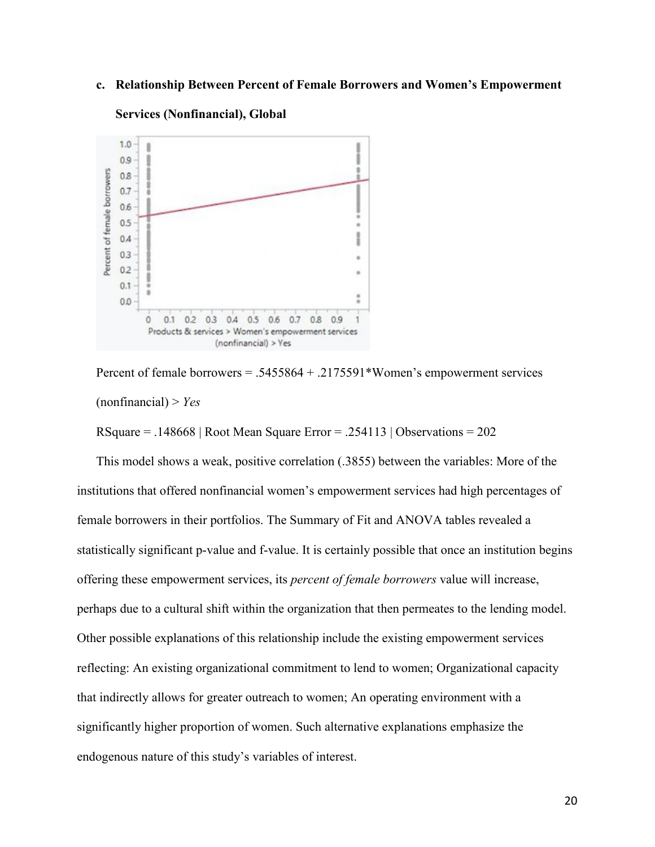#### **c. Relationship Between Percent of Female Borrowers and Women's Empowerment**



#### **Services (Nonfinancial), Global**

Percent of female borrowers = .5455864 + .2175591\*Women's empowerment services (nonfinancial) > *Yes*

RSquare =  $.148668$  | Root Mean Square Error =  $.254113$  | Observations = 202

This model shows a weak, positive correlation (.3855) between the variables: More of the institutions that offered nonfinancial women's empowerment services had high percentages of female borrowers in their portfolios. The Summary of Fit and ANOVA tables revealed a statistically significant p-value and f-value. It is certainly possible that once an institution begins offering these empowerment services, its *percent of female borrowers* value will increase, perhaps due to a cultural shift within the organization that then permeates to the lending model. Other possible explanations of this relationship include the existing empowerment services reflecting: An existing organizational commitment to lend to women; Organizational capacity that indirectly allows for greater outreach to women; An operating environment with a significantly higher proportion of women. Such alternative explanations emphasize the endogenous nature of this study's variables of interest.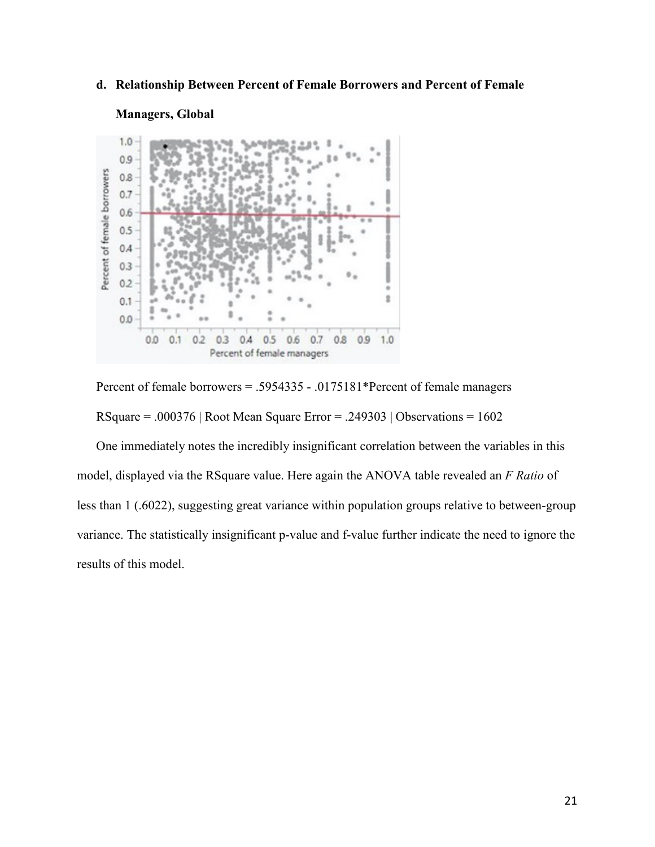## **d. Relationship Between Percent of Female Borrowers and Percent of Female**

#### **Managers, Global**



Percent of female borrowers = .5954335 - .0175181\*Percent of female managers

RSquare = .000376 | Root Mean Square Error = .249303 | Observations =  $1602$ 

One immediately notes the incredibly insignificant correlation between the variables in this model, displayed via the RSquare value. Here again the ANOVA table revealed an *F Ratio* of less than 1 (.6022), suggesting great variance within population groups relative to between-group variance. The statistically insignificant p-value and f-value further indicate the need to ignore the results of this model.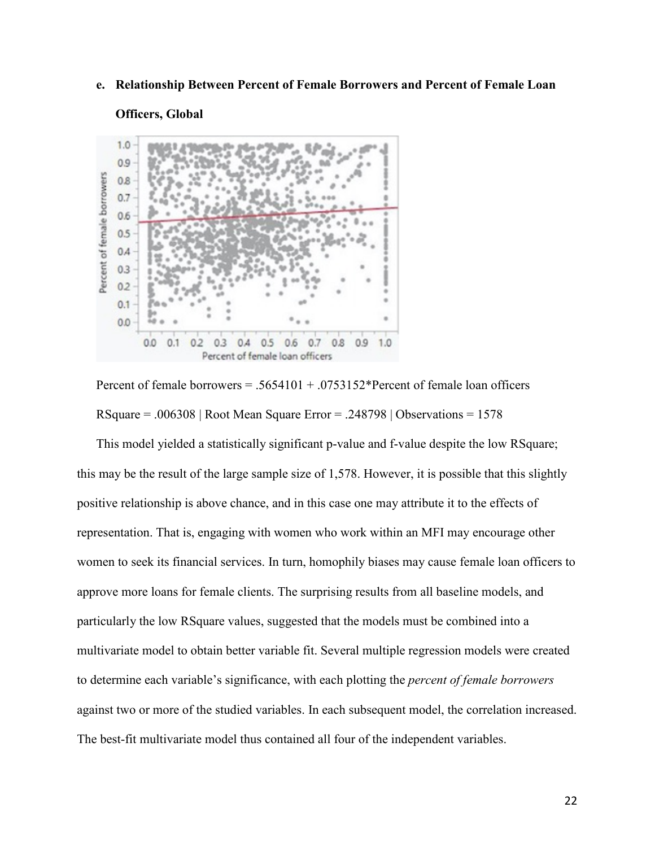#### **e. Relationship Between Percent of Female Borrowers and Percent of Female Loan**

# **Officers, Global**



Percent of female borrowers  $= .5654101 + .0753152*$  Percent of female loan officers RSquare =  $.006308$  | Root Mean Square Error =  $.248798$  | Observations = 1578

This model yielded a statistically significant p-value and f-value despite the low RSquare; this may be the result of the large sample size of 1,578. However, it is possible that this slightly positive relationship is above chance, and in this case one may attribute it to the effects of representation. That is, engaging with women who work within an MFI may encourage other women to seek its financial services. In turn, homophily biases may cause female loan officers to approve more loans for female clients. The surprising results from all baseline models, and particularly the low RSquare values, suggested that the models must be combined into a multivariate model to obtain better variable fit. Several multiple regression models were created to determine each variable's significance, with each plotting the *percent of female borrowers*  against two or more of the studied variables. In each subsequent model, the correlation increased. The best-fit multivariate model thus contained all four of the independent variables.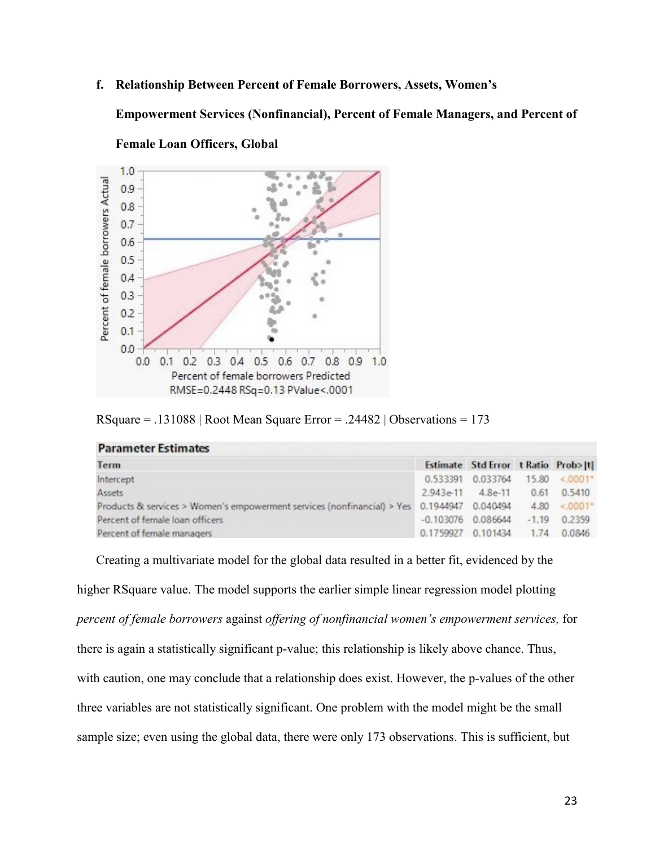**f. Relationship Between Percent of Female Borrowers, Assets, Women's** 

**Empowerment Services (Nonfinancial), Percent of Female Managers, and Percent of** 



**Female Loan Officers, Global**

**Parameter Estimates** 

| $RSquare = .131088$   Root Mean Square Error = .24482   Observations = 173 |  |  |
|----------------------------------------------------------------------------|--|--|
|----------------------------------------------------------------------------|--|--|

| Term                                                                                       |                    | Estimate Std Error t Ratio Prob> t |  |                     |  |
|--------------------------------------------------------------------------------------------|--------------------|------------------------------------|--|---------------------|--|
| Intercept                                                                                  |                    | 0.533391 0.033764                  |  | 15.80 <.0001*       |  |
| Assets                                                                                     | $2.943e-11$        | $4.8e-11$                          |  | $0.61$ $0.5410$     |  |
| Products & services > Women's empowerment services (nonfinancial) > Yes 0.1944947 0.040494 |                    |                                    |  | $4.80 \div .0001^*$ |  |
| Percent of female loan officers                                                            |                    | $-0.103076$ 0.086644               |  | $-1.19$ 0.2359      |  |
| Percent of female managers                                                                 | 0.1759927 0.101434 |                                    |  | 1.74 0.0846         |  |

Creating a multivariate model for the global data resulted in a better fit, evidenced by the higher RSquare value. The model supports the earlier simple linear regression model plotting *percent of female borrowers* against *offering of nonfinancial women's empowerment services,* for there is again a statistically significant p-value; this relationship is likely above chance. Thus, with caution, one may conclude that a relationship does exist. However, the p-values of the other three variables are not statistically significant. One problem with the model might be the small sample size; even using the global data, there were only 173 observations. This is sufficient, but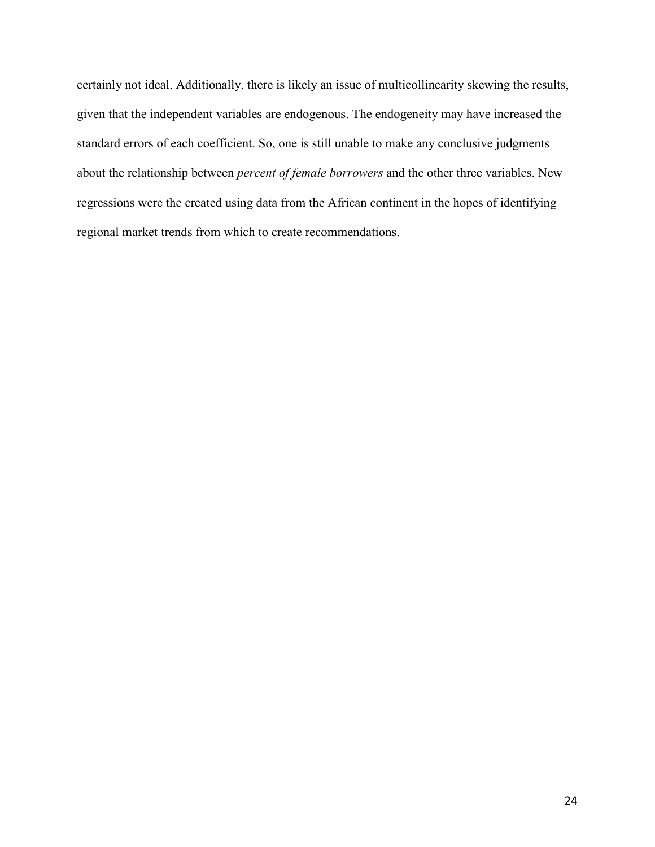certainly not ideal. Additionally, there is likely an issue of multicollinearity skewing the results, given that the independent variables are endogenous. The endogeneity may have increased the standard errors of each coefficient. So, one is still unable to make any conclusive judgments about the relationship between *percent of female borrowers* and the other three variables. New regressions were the created using data from the African continent in the hopes of identifying regional market trends from which to create recommendations.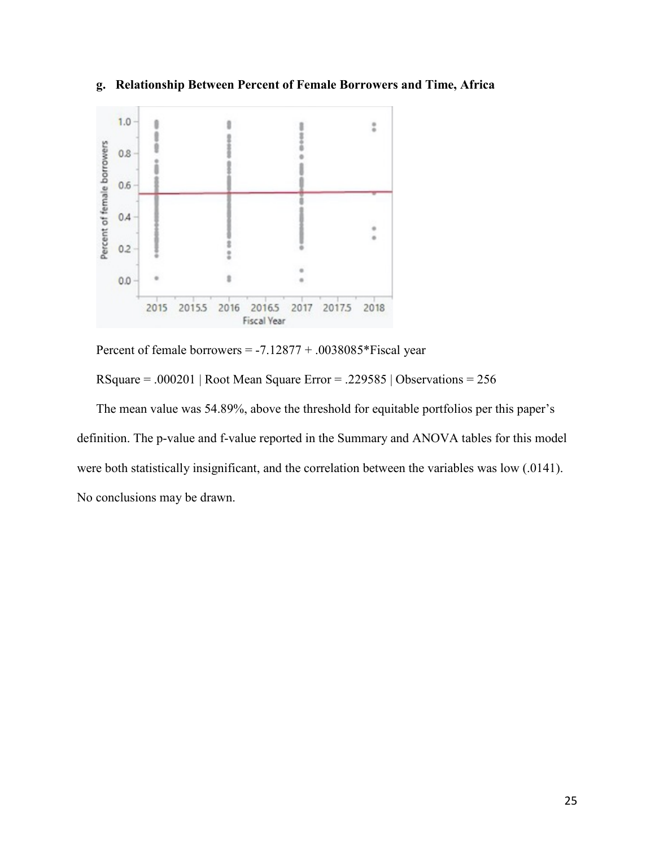

**g. Relationship Between Percent of Female Borrowers and Time, Africa**

Percent of female borrowers = -7.12877 + .0038085\*Fiscal year

RSquare = .000201 | Root Mean Square Error = .229585 | Observations =  $256$ 

The mean value was 54.89%, above the threshold for equitable portfolios per this paper's definition. The p-value and f-value reported in the Summary and ANOVA tables for this model were both statistically insignificant, and the correlation between the variables was low (.0141). No conclusions may be drawn.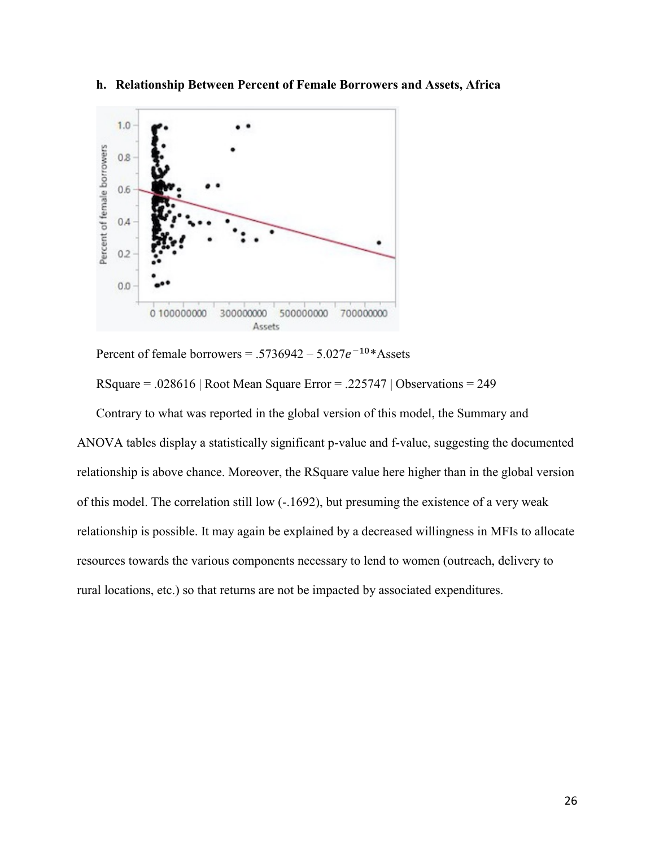

**h. Relationship Between Percent of Female Borrowers and Assets, Africa** 

Percent of female borrowers = .5736942 –  $5.027e^{-10*}$  Assets

RSquare = .028616 | Root Mean Square Error = .225747 | Observations = 249

Contrary to what was reported in the global version of this model, the Summary and ANOVA tables display a statistically significant p-value and f-value, suggesting the documented relationship is above chance. Moreover, the RSquare value here higher than in the global version of this model. The correlation still low (-.1692), but presuming the existence of a very weak relationship is possible. It may again be explained by a decreased willingness in MFIs to allocate resources towards the various components necessary to lend to women (outreach, delivery to rural locations, etc.) so that returns are not be impacted by associated expenditures.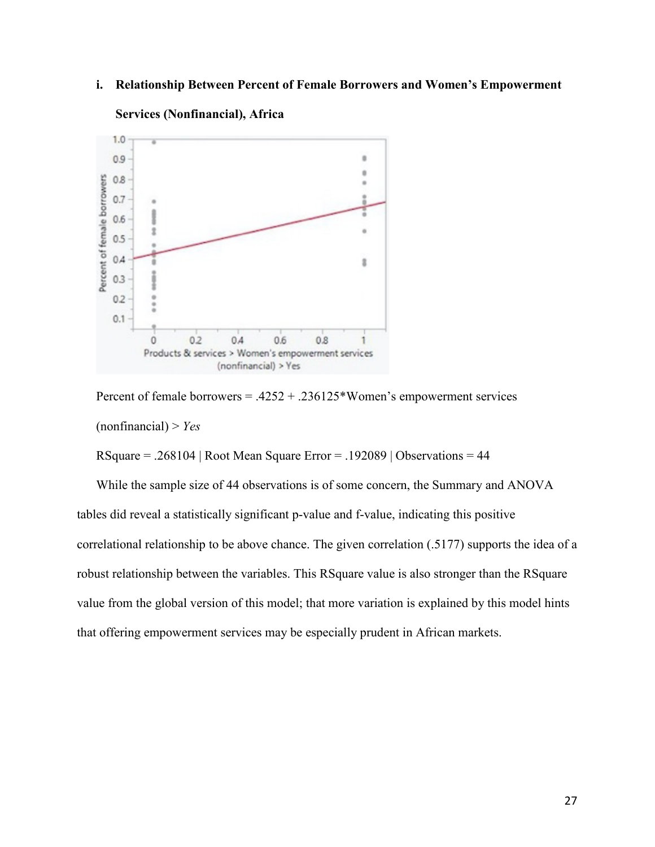## **i. Relationship Between Percent of Female Borrowers and Women's Empowerment**



## **Services (Nonfinancial), Africa**

Percent of female borrowers = .4252 + .236125\*Women's empowerment services (nonfinancial) > *Yes*

 $RSquare = .268104$  | Root Mean Square Error = .192089 | Observations = 44

While the sample size of 44 observations is of some concern, the Summary and ANOVA tables did reveal a statistically significant p-value and f-value, indicating this positive correlational relationship to be above chance. The given correlation (.5177) supports the idea of a robust relationship between the variables. This RSquare value is also stronger than the RSquare value from the global version of this model; that more variation is explained by this model hints that offering empowerment services may be especially prudent in African markets.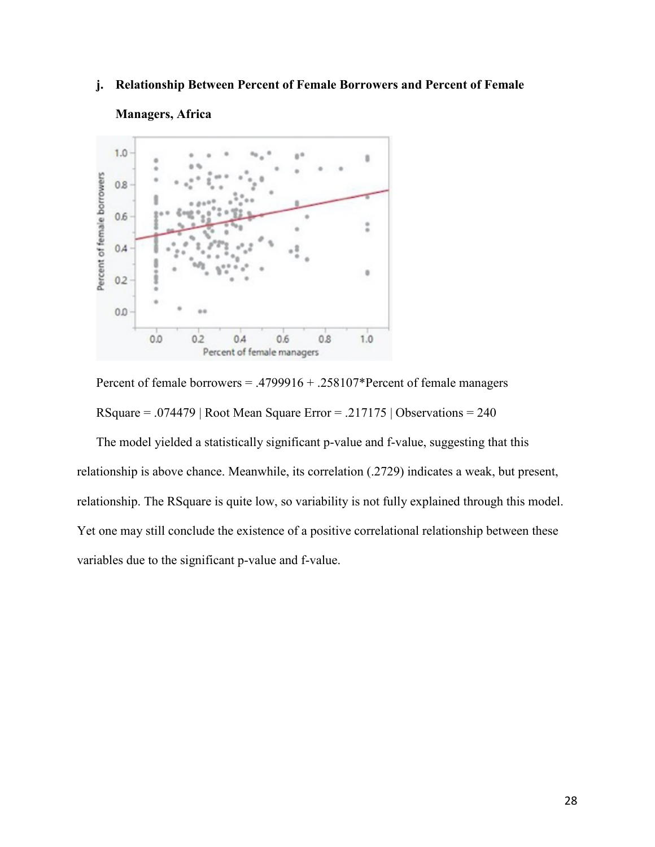## **j. Relationship Between Percent of Female Borrowers and Percent of Female**



## **Managers, Africa**

Percent of female borrowers = .4799916 + .258107\*Percent of female managers RSquare = .074479 | Root Mean Square Error = .217175 | Observations = 240

The model yielded a statistically significant p-value and f-value, suggesting that this relationship is above chance. Meanwhile, its correlation (.2729) indicates a weak, but present, relationship. The RSquare is quite low, so variability is not fully explained through this model. Yet one may still conclude the existence of a positive correlational relationship between these variables due to the significant p-value and f-value.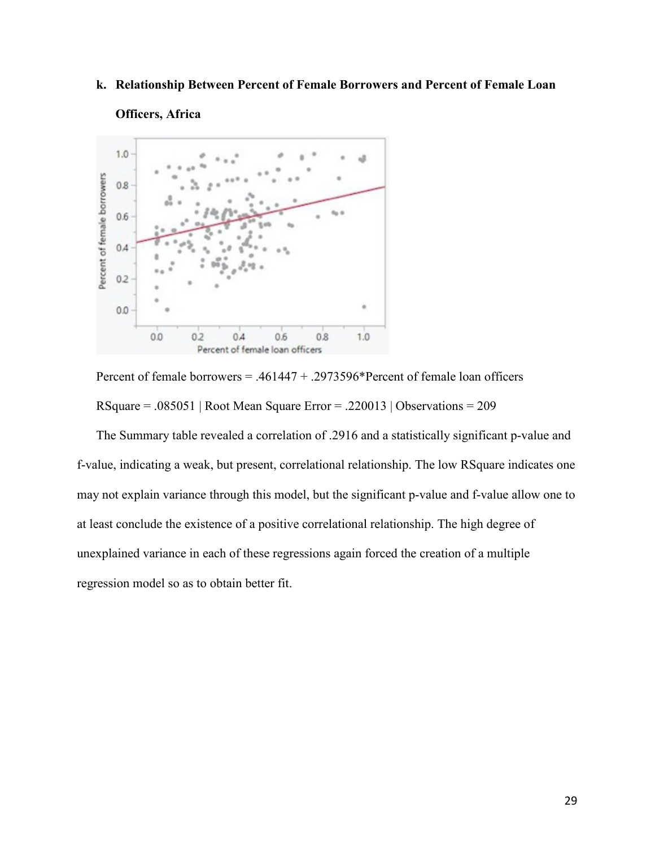## **k. Relationship Between Percent of Female Borrowers and Percent of Female Loan**



## **Officers, Africa**



The Summary table revealed a correlation of .2916 and a statistically significant p-value and f-value, indicating a weak, but present, correlational relationship. The low RSquare indicates one may not explain variance through this model, but the significant p-value and f-value allow one to at least conclude the existence of a positive correlational relationship. The high degree of unexplained variance in each of these regressions again forced the creation of a multiple regression model so as to obtain better fit.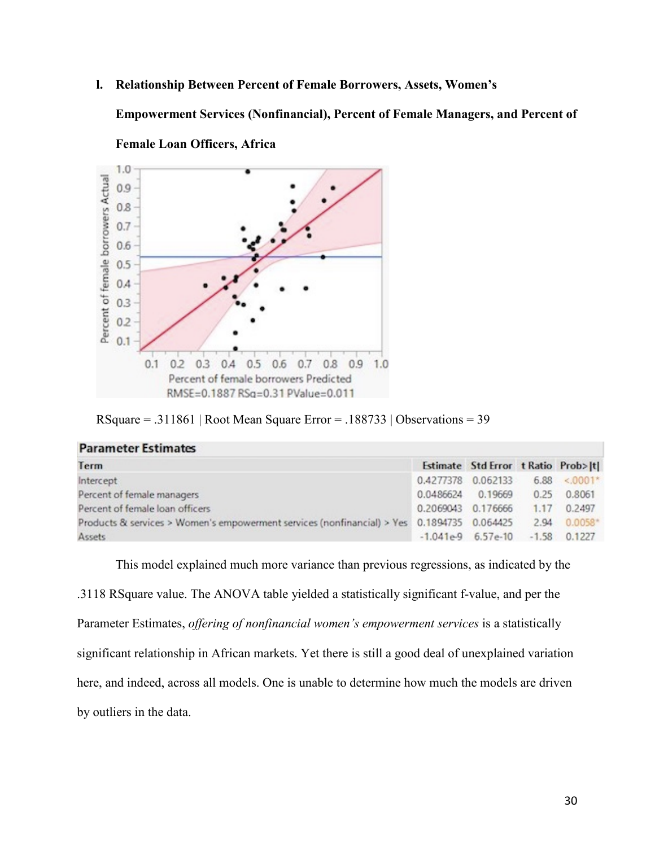**l. Relationship Between Percent of Female Borrowers, Assets, Women's** 

**Empowerment Services (Nonfinancial), Percent of Female Managers, and Percent of** 



**Female Loan Officers, Africa**

**Parameter Estimates** 

RSquare = .311861 | Root Mean Square Error = .188733 | Observations = 39

| 1.91611155515351118553                                                                                  |                                       |                                     |  |             |
|---------------------------------------------------------------------------------------------------------|---------------------------------------|-------------------------------------|--|-------------|
| Term                                                                                                    |                                       | Estimate Std Error t Ratio Prob> t  |  |             |
| Intercept                                                                                               | $0.4277378$ $0.062133$ $6.88$ < 0001* |                                     |  |             |
| Percent of female managers                                                                              | 0.0486624 0.19669                     |                                     |  | 0.25 0.8061 |
| Percent of female loan officers                                                                         | 0.2069043 0.176666                    |                                     |  | 1.17 0.2497 |
| Products & services > Women's empowerment services (nonfinancial) > Yes 0.1894735 0.064425 2.94 0.0058* |                                       |                                     |  |             |
| Assets                                                                                                  |                                       | $-1.041e-9$ 6.57e-10 $-1.58$ 0.1227 |  |             |

This model explained much more variance than previous regressions, as indicated by the .3118 RSquare value. The ANOVA table yielded a statistically significant f-value, and per the Parameter Estimates, *offering of nonfinancial women's empowerment services* is a statistically significant relationship in African markets. Yet there is still a good deal of unexplained variation here, and indeed, across all models. One is unable to determine how much the models are driven by outliers in the data.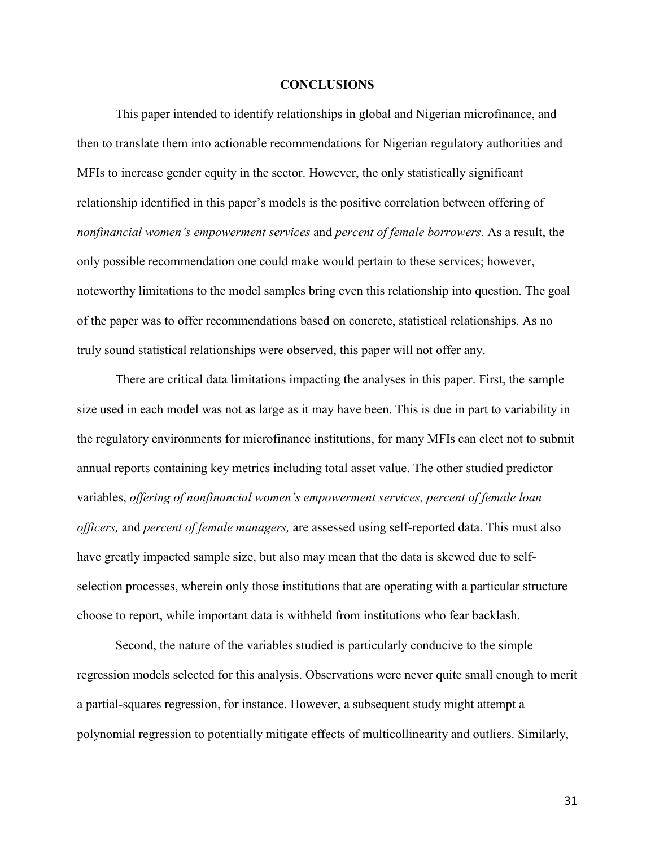#### **CONCLUSIONS**

This paper intended to identify relationships in global and Nigerian microfinance, and then to translate them into actionable recommendations for Nigerian regulatory authorities and MFIs to increase gender equity in the sector. However, the only statistically significant relationship identified in this paper's models is the positive correlation between offering of *nonfinancial women's empowerment services* and *percent of female borrowers.* As a result, the only possible recommendation one could make would pertain to these services; however, noteworthy limitations to the model samples bring even this relationship into question. The goal of the paper was to offer recommendations based on concrete, statistical relationships. As no truly sound statistical relationships were observed, this paper will not offer any.

There are critical data limitations impacting the analyses in this paper. First, the sample size used in each model was not as large as it may have been. This is due in part to variability in the regulatory environments for microfinance institutions, for many MFIs can elect not to submit annual reports containing key metrics including total asset value. The other studied predictor variables, *offering of nonfinancial women's empowerment services, percent of female loan officers,* and *percent of female managers,* are assessed using self-reported data. This must also have greatly impacted sample size, but also may mean that the data is skewed due to selfselection processes, wherein only those institutions that are operating with a particular structure choose to report, while important data is withheld from institutions who fear backlash.

Second, the nature of the variables studied is particularly conducive to the simple regression models selected for this analysis. Observations were never quite small enough to merit a partial-squares regression, for instance. However, a subsequent study might attempt a polynomial regression to potentially mitigate effects of multicollinearity and outliers. Similarly,

31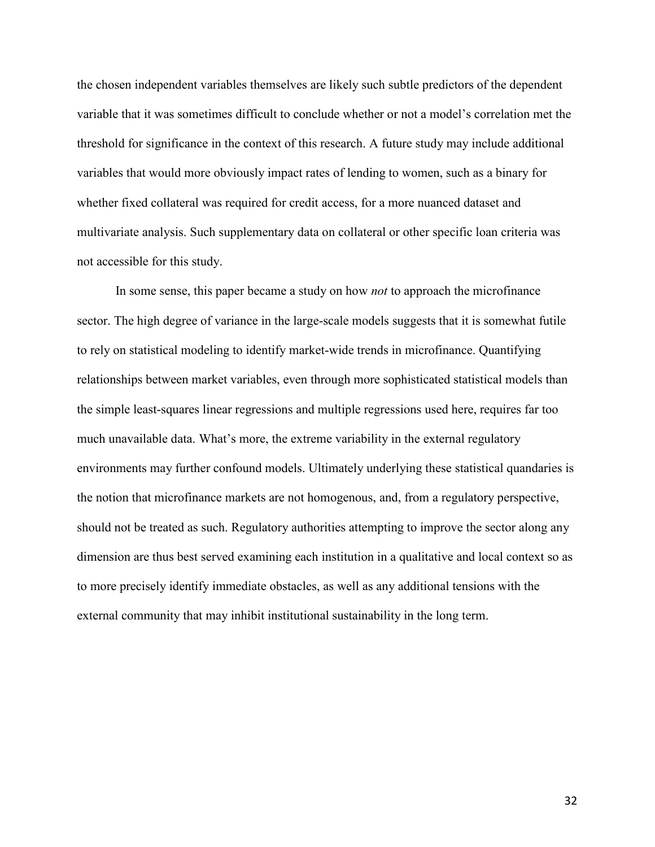the chosen independent variables themselves are likely such subtle predictors of the dependent variable that it was sometimes difficult to conclude whether or not a model's correlation met the threshold for significance in the context of this research. A future study may include additional variables that would more obviously impact rates of lending to women, such as a binary for whether fixed collateral was required for credit access, for a more nuanced dataset and multivariate analysis. Such supplementary data on collateral or other specific loan criteria was not accessible for this study.

In some sense, this paper became a study on how *not* to approach the microfinance sector. The high degree of variance in the large-scale models suggests that it is somewhat futile to rely on statistical modeling to identify market-wide trends in microfinance. Quantifying relationships between market variables, even through more sophisticated statistical models than the simple least-squares linear regressions and multiple regressions used here, requires far too much unavailable data. What's more, the extreme variability in the external regulatory environments may further confound models. Ultimately underlying these statistical quandaries is the notion that microfinance markets are not homogenous, and, from a regulatory perspective, should not be treated as such. Regulatory authorities attempting to improve the sector along any dimension are thus best served examining each institution in a qualitative and local context so as to more precisely identify immediate obstacles, as well as any additional tensions with the external community that may inhibit institutional sustainability in the long term.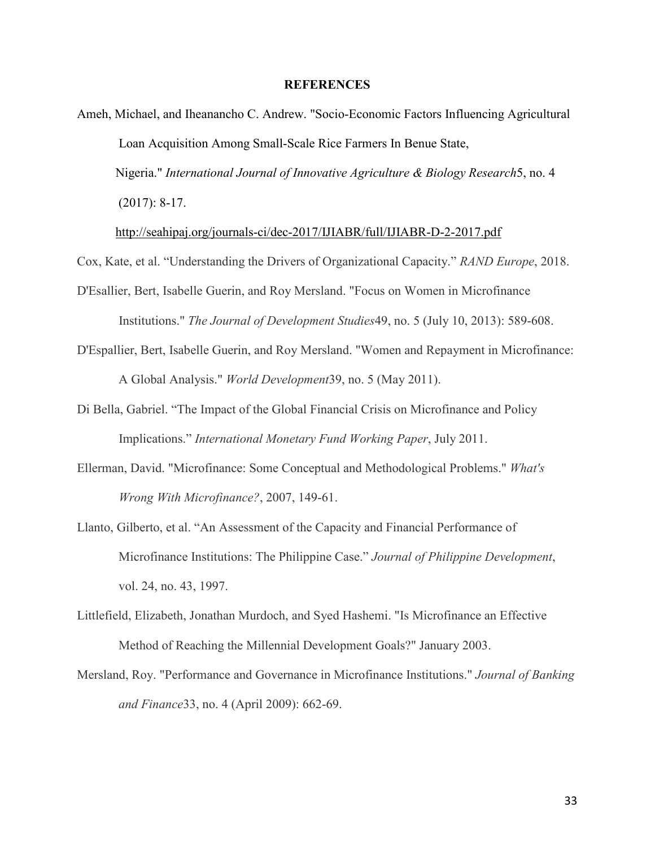#### **REFERENCES**

Ameh, Michael, and Iheanancho C. Andrew. "Socio-Economic Factors Influencing Agricultural Loan Acquisition Among Small-Scale Rice Farmers In Benue State, Nigeria." *International Journal of Innovative Agriculture & Biology Research*5, no. 4 (2017): 8-17.

<http://seahipaj.org/journals-ci/dec-2017/IJIABR/full/IJIABR-D-2-2017.pdf>

Cox, Kate, et al. "Understanding the Drivers of Organizational Capacity." *RAND Europe*, 2018.

- D'Esallier, Bert, Isabelle Guerin, and Roy Mersland. "Focus on Women in Microfinance Institutions." *The Journal of Development Studies*49, no. 5 (July 10, 2013): 589-608.
- D'Espallier, Bert, Isabelle Guerin, and Roy Mersland. "Women and Repayment in Microfinance: A Global Analysis." *World Development*39, no. 5 (May 2011).
- Di Bella, Gabriel. "The Impact of the Global Financial Crisis on Microfinance and Policy Implications." *International Monetary Fund Working Paper*, July 2011.
- Ellerman, David. "Microfinance: Some Conceptual and Methodological Problems." *What's Wrong With Microfinance?*, 2007, 149-61.
- Llanto, Gilberto, et al. "An Assessment of the Capacity and Financial Performance of Microfinance Institutions: The Philippine Case." *Journal of Philippine Development*, vol. 24, no. 43, 1997.
- Littlefield, Elizabeth, Jonathan Murdoch, and Syed Hashemi. "Is Microfinance an Effective Method of Reaching the Millennial Development Goals?" January 2003.
- Mersland, Roy. "Performance and Governance in Microfinance Institutions." *Journal of Banking and Finance*33, no. 4 (April 2009): 662-69.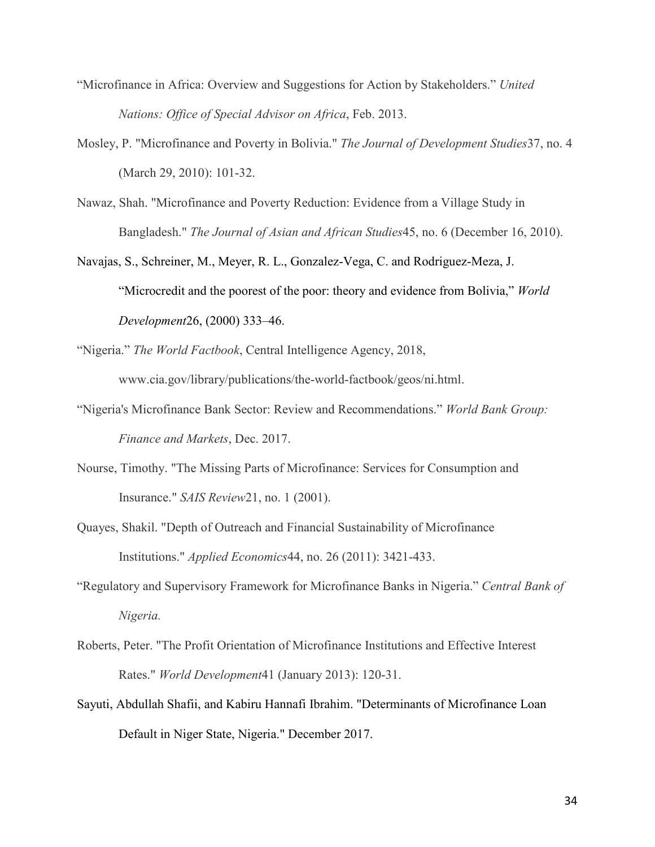- "Microfinance in Africa: Overview and Suggestions for Action by Stakeholders." *United Nations: Office of Special Advisor on Africa*, Feb. 2013.
- Mosley, P. "Microfinance and Poverty in Bolivia." *The Journal of Development Studies*37, no. 4 (March 29, 2010): 101-32.
- Nawaz, Shah. "Microfinance and Poverty Reduction: Evidence from a Village Study in Bangladesh." *The Journal of Asian and African Studies*45, no. 6 (December 16, 2010).
- Navajas, S., Schreiner, M., Meyer, R. L., Gonzalez-Vega, C. and Rodriguez-Meza, J. "Microcredit and the poorest of the poor: theory and evidence from Bolivia," *World Development*26, (2000) 333–46.

"Nigeria." *The World Factbook*, Central Intelligence Agency, 2018, www.cia.gov/library/publications/the-world-factbook/geos/ni.html.

- "Nigeria's Microfinance Bank Sector: Review and Recommendations." *World Bank Group: Finance and Markets*, Dec. 2017.
- Nourse, Timothy. "The Missing Parts of Microfinance: Services for Consumption and Insurance." *SAIS Review*21, no. 1 (2001).
- Quayes, Shakil. "Depth of Outreach and Financial Sustainability of Microfinance Institutions." *Applied Economics*44, no. 26 (2011): 3421-433.
- "Regulatory and Supervisory Framework for Microfinance Banks in Nigeria." *Central Bank of Nigeria.*
- Roberts, Peter. "The Profit Orientation of Microfinance Institutions and Effective Interest Rates." *World Development*41 (January 2013): 120-31.
- Sayuti, Abdullah Shafii, and Kabiru Hannafi Ibrahim. "Determinants of Microfinance Loan Default in Niger State, Nigeria." December 2017.